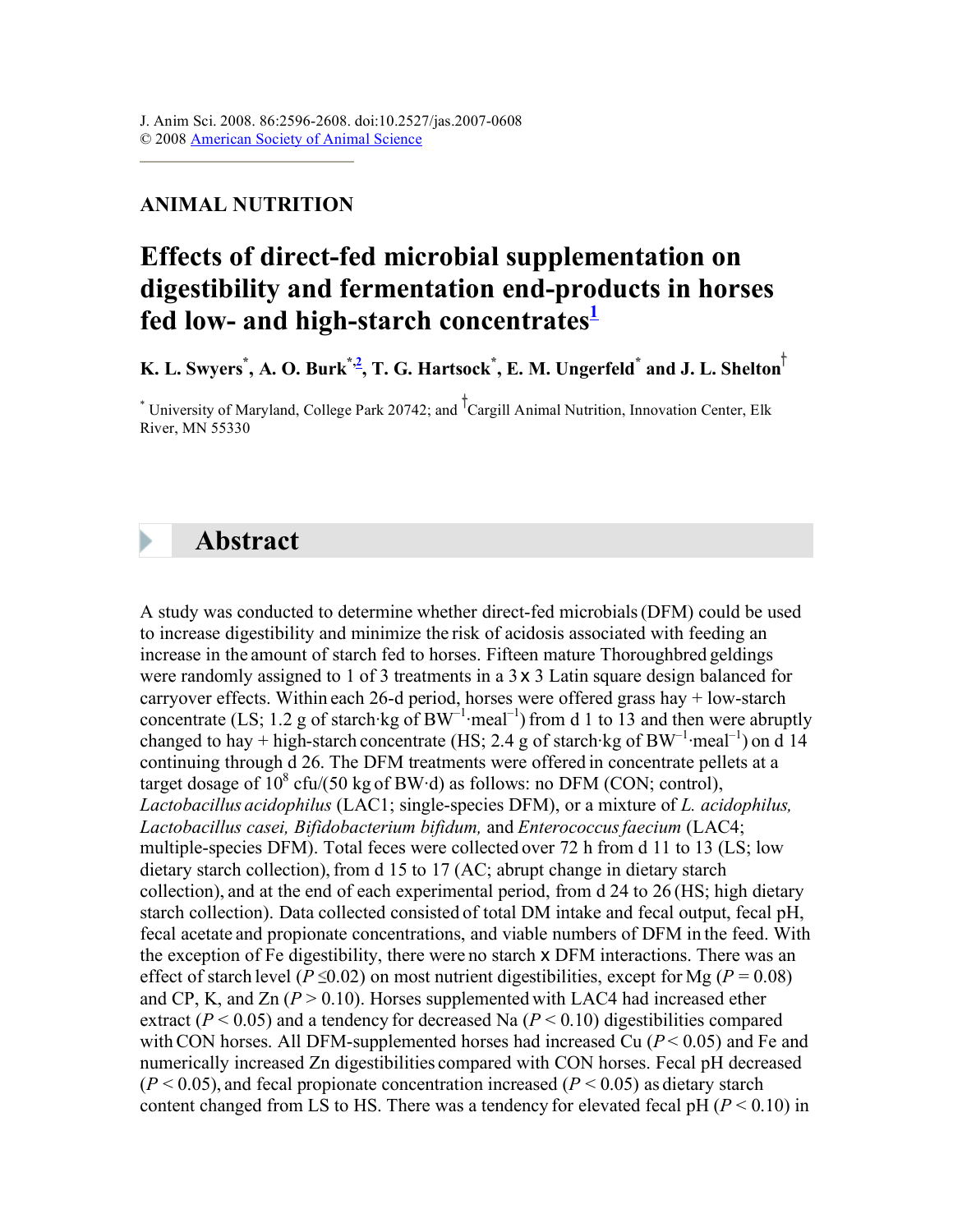### **ANIMAL NUTRITION**

## **Effects of direct-fed microbial supplementation on digestibility and fermentation end-products in horses**  fed low- and high-starch concentrates<sup>1</sup>

**K. L. Swyers\* , A. O. Burk\*,2 , T. G. Hartsock\* , E. M. Ungerfeld\* and J. L. Shelton**

<sup>\*</sup> University of Maryland, College Park 20742; and <sup>T</sup>Cargill Animal Nutrition, Innovation Center, Elk River, MN 55330

### **Abstract**

A study was conducted to determine whether direct-fed microbials(DFM) could be used to increase digestibility and minimize the risk of acidosis associated with feeding an increase in the amount of starch fed to horses. Fifteen mature Thoroughbred geldings were randomly assigned to 1 of 3 treatments in a 3 x 3 Latin square design balanced for carryover effects. Within each 26-d period, horses were offered grass hay + low-starch concentrate (LS; 1.2 g of starch kg of  $BW^{-1}$  meal<sup>-1</sup>) from d 1 to 13 and then were abruptly changed to hay + high-starch concentrate (HS; 2.4 g of starch·kg of BW<sup>-1</sup>·meal<sup>-1</sup>) on d 14 continuing through d 26. The DFM treatments were offered in concentrate pellets at a target dosage of  $10^8$  cfu/(50 kg of BW·d) as follows: no DFM (CON; control), *Lactobacillus acidophilus* (LAC1; single-species DFM), or a mixture of *L. acidophilus, Lactobacillus casei, Bifidobacterium bifidum,* and *Enterococcusfaecium* (LAC4; multiple-species DFM). Total feces were collected over 72 h from d 11 to 13 (LS; low dietary starch collection), from d 15 to 17 (AC; abrupt change in dietary starch collection), and at the end of each experimental period, from d 24 to 26 (HS; high dietary starch collection). Data collected consisted of total DM intake and fecal output, fecal pH, fecal acetate and propionate concentrations, and viable numbers of DFM in the feed. With the exception of Fe digestibility, there were no starch x DFM interactions. There was an effect of starch level ( $P \le 0.02$ ) on most nutrient digestibilities, except for Mg ( $P = 0.08$ ) and CP, K, and  $Zn (P > 0.10)$ . Horses supplemented with LAC4 had increased ether extract ( $P < 0.05$ ) and a tendency for decreased Na ( $P < 0.10$ ) digestibilities compared with CON horses. All DFM-supplemented horses had increased Cu  $(P < 0.05)$  and Fe and numerically increased Zn digestibilities compared with CON horses. Fecal pH decreased  $(P < 0.05)$ , and fecal propionate concentration increased  $(P < 0.05)$  as dietary starch content changed from LS to HS. There was a tendency for elevated fecal pH  $(P < 0.10)$  in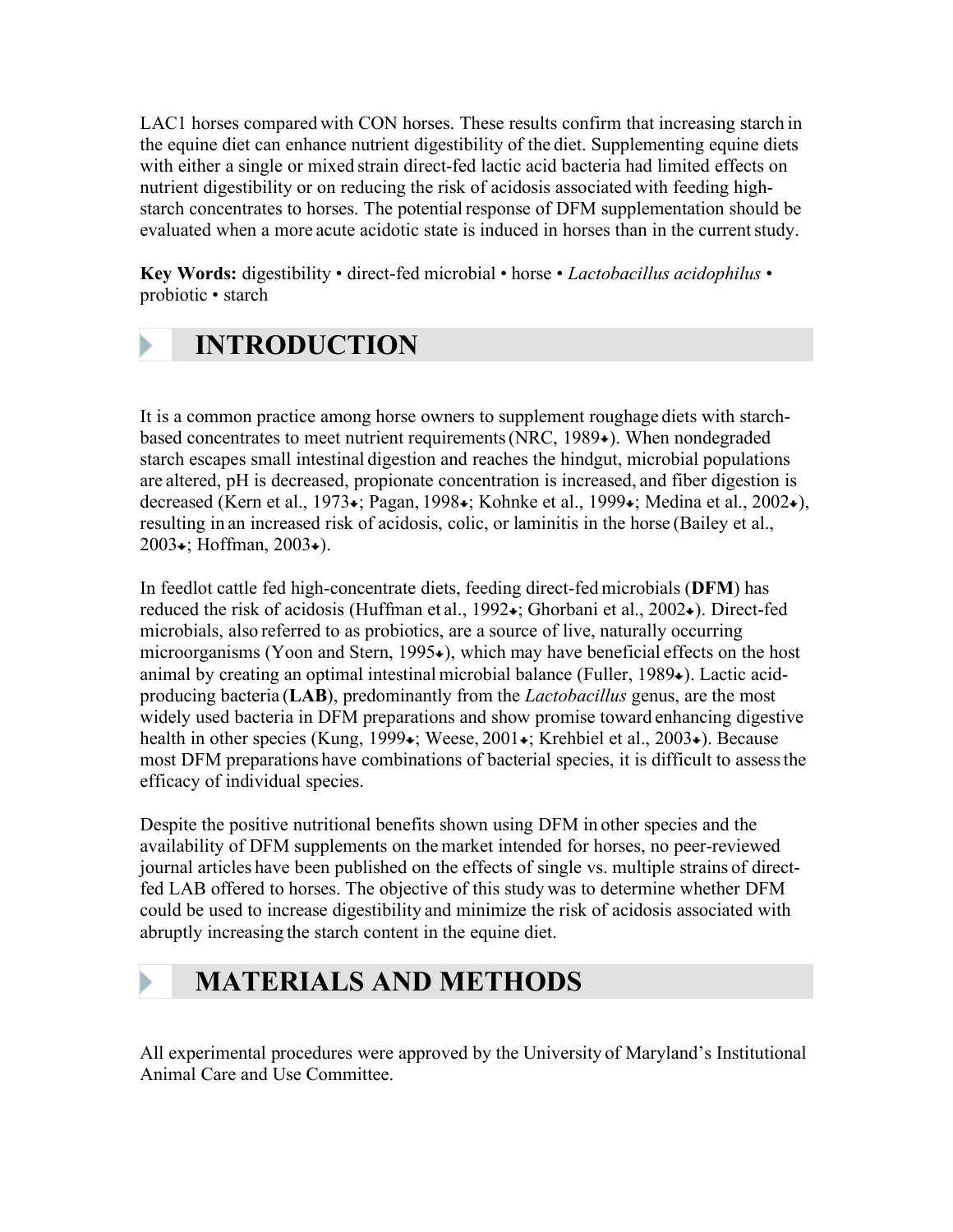LAC1 horses compared with CON horses. These results confirm that increasing starch in the equine diet can enhance nutrient digestibility of the diet. Supplementing equine diets with either a single or mixed strain direct-fed lactic acid bacteria had limited effects on nutrient digestibility or on reducing the risk of acidosis associated with feeding highstarch concentrates to horses. The potential response of DFM supplementation should be evaluated when a more acute acidotic state is induced in horses than in the current study.

**Key Words:** digestibility • direct-fed microbial • horse • *Lactobacillus acidophilus* • probiotic • starch

# **INTRODUCTION**

It is a common practice among horse owners to supplement roughage diets with starchbased concentrates to meet nutrient requirements (NRC, 1989 $\star$ ). When nondegraded starch escapes small intestinal digestion and reaches the hindgut, microbial populations are altered, pH is decreased, propionate concentration is increased, and fiber digestion is decreased (Kern et al., 1973 ; Pagan, 1998 ; Kohnke et al., 1999 ; Medina et al., 2002 ;), resulting in an increased risk of acidosis, colic, or laminitis in the horse (Bailey et al., 2003 $\star$ ; Hoffman, 2003 $\star$ ).

In feedlot cattle fed high-concentrate diets, feeding direct-fed microbials (**DFM**) has reduced the risk of acidosis (Huffman et al., 1992 $\star$ ; Ghorbani et al., 2002 $\star$ ). Direct-fed microbials, also referred to as probiotics, are a source of live, naturally occurring microorganisms (Yoon and Stern,  $1995\bullet$ ), which may have beneficial effects on the host animal by creating an optimal intestinal microbial balance (Fuller, 1989 $\bullet$ ). Lactic acidproducing bacteria (**LAB**), predominantly from the *Lactobacillus* genus, are the most widely used bacteria in DFM preparations and show promise toward enhancing digestive health in other species (Kung, 1999 $\star$ ; Weese, 2001 $\star$ ; Krehbiel et al., 2003 $\star$ ). Because most DFM preparations have combinations of bacterial species, it is difficult to assessthe efficacy of individual species.

Despite the positive nutritional benefits shown using DFM in other species and the availability of DFM supplements on the market intended for horses, no peer-reviewed journal articles have been published on the effects of single vs. multiple strains of directfed LAB offered to horses. The objective of this study was to determine whether DFM could be used to increase digestibility and minimize the risk of acidosis associated with abruptly increasing the starch content in the equine diet.

# **MATERIALS AND METHODS**

All experimental procedures were approved by the University of Maryland's Institutional Animal Care and Use Committee.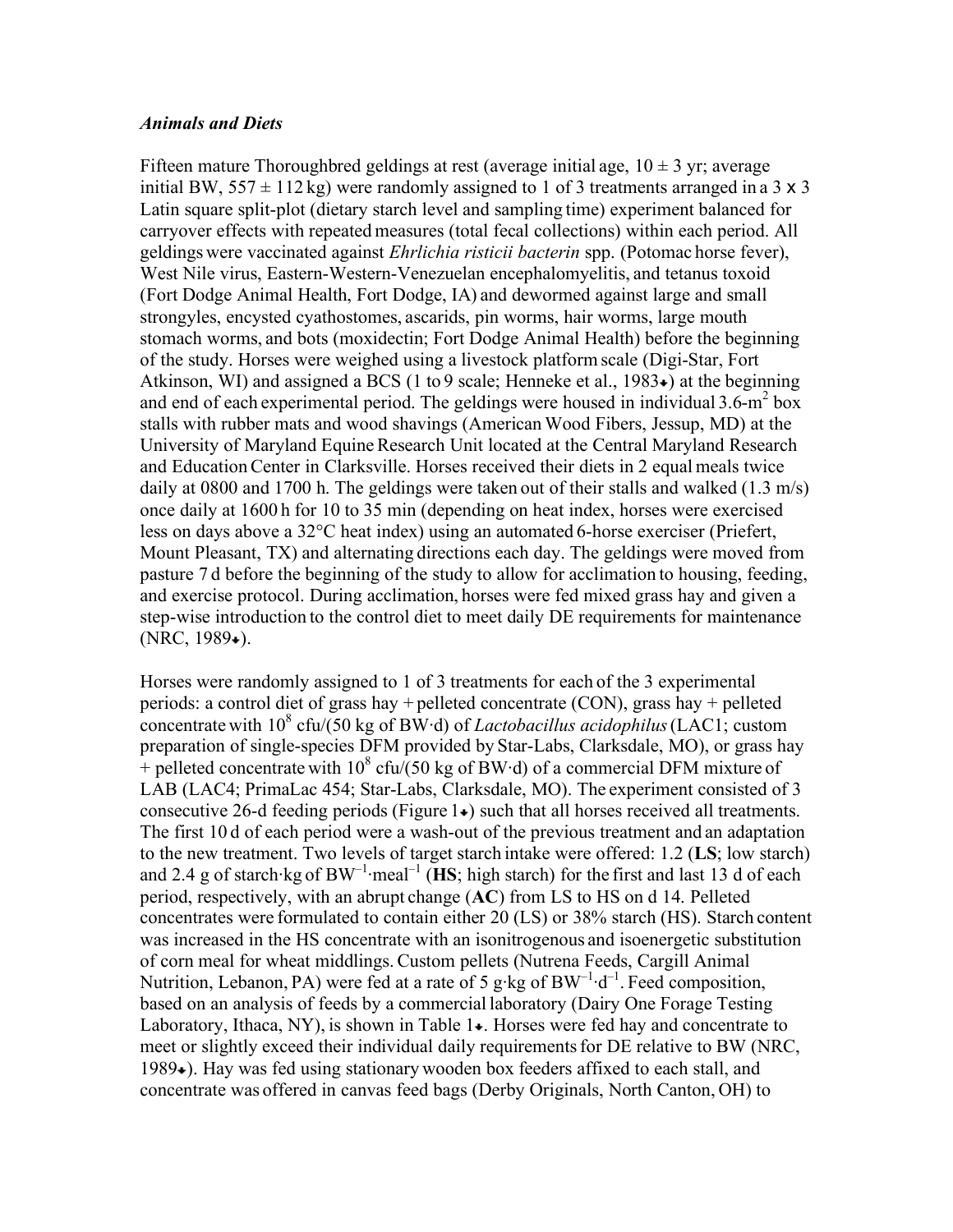#### *Animals and Diets*

Fifteen mature Thoroughbred geldings at rest (average initial age,  $10 \pm 3$  yr; average initial BW,  $557 \pm 112$  kg) were randomly assigned to 1 of 3 treatments arranged in a 3 x 3 Latin square split-plot (dietary starch level and sampling time) experiment balanced for carryover effects with repeated measures (total fecal collections) within each period. All geldings were vaccinated against *Ehrlichia risticii bacterin* spp. (Potomac horse fever), West Nile virus, Eastern-Western-Venezuelan encephalomyelitis, and tetanus toxoid (Fort Dodge Animal Health, Fort Dodge, IA) and dewormed against large and small strongyles, encysted cyathostomes, ascarids, pin worms, hair worms, large mouth stomach worms, and bots (moxidectin; Fort Dodge Animal Health) before the beginning of the study. Horses were weighed using a livestock platform scale (Digi-Star, Fort Atkinson, WI) and assigned a BCS (1 to 9 scale; Henneke et al., 1983 $\star$ ) at the beginning and end of each experimental period. The geldings were housed in individual  $3.6\text{-m}^2$  box stalls with rubber mats and wood shavings (American Wood Fibers, Jessup, MD) at the University of Maryland Equine Research Unit located at the Central Maryland Research and EducationCenter in Clarksville. Horses received their diets in 2 equal meals twice daily at 0800 and 1700 h. The geldings were taken out of their stalls and walked (1.3 m/s) once daily at 1600 h for 10 to 35 min (depending on heat index, horses were exercised less on days above a 32°C heat index) using an automated 6-horse exerciser (Priefert, Mount Pleasant, TX) and alternating directions each day. The geldings were moved from pasture 7 d before the beginning of the study to allow for acclimation to housing, feeding, and exercise protocol. During acclimation, horses were fed mixed grass hay and given a step-wise introduction to the control diet to meet daily DE requirements for maintenance  $(NRC, 1989).$ 

Horses were randomly assigned to 1 of 3 treatments for each of the 3 experimental periods: a control diet of grass hay + pelleted concentrate (CON), grass hay + pelleted concentrate with 10<sup>8</sup> cfu/(50 kg of BW·d) of *Lactobacillus acidophilus* (LAC1; custom preparation of single-species DFM provided by Star-Labs, Clarksdale, MO), or grass hay  $+$  pelleted concentrate with 10<sup>8</sup> cfu/(50 kg of BW·d) of a commercial DFM mixture of LAB (LAC4; PrimaLac 454; Star-Labs, Clarksdale, MO). The experiment consisted of 3 consecutive 26-d feeding periods (Figure  $1\bullet$ ) such that all horses received all treatments. The first 10 d of each period were a wash-out of the previous treatment and an adaptation to the new treatment. Two levels of target starch intake were offered: 1.2 (**LS**; low starch) and 2.4 g of starch·kg of  $BW^{-1}$ ·meal<sup>-1</sup> ( $\overline{HS}$ ; high starch) for the first and last 13 d of each period, respectively, with an abrupt change (**AC**) from LS to HS on d 14. Pelleted concentrates were formulated to contain either 20 (LS) or 38% starch (HS). Starch content was increased in the HS concentrate with an isonitrogenous and isoenergetic substitution of corn meal for wheat middlings. Custom pellets (Nutrena Feeds, Cargill Animal Nutrition, Lebanon, PA) were fed at a rate of 5 g·kg of  $BW^{-1} \cdot d^{-1}$ . Feed composition, based on an analysis of feeds by a commercial laboratory (Dairy One Forage Testing Laboratory, Ithaca, NY), is shown in Table  $1\star$ . Horses were fed hay and concentrate to meet or slightly exceed their individual daily requirementsfor DE relative to BW (NRC,  $1989\bullet$ ). Hay was fed using stationary wooden box feeders affixed to each stall, and concentrate was offered in canvas feed bags (Derby Originals, North Canton, OH) to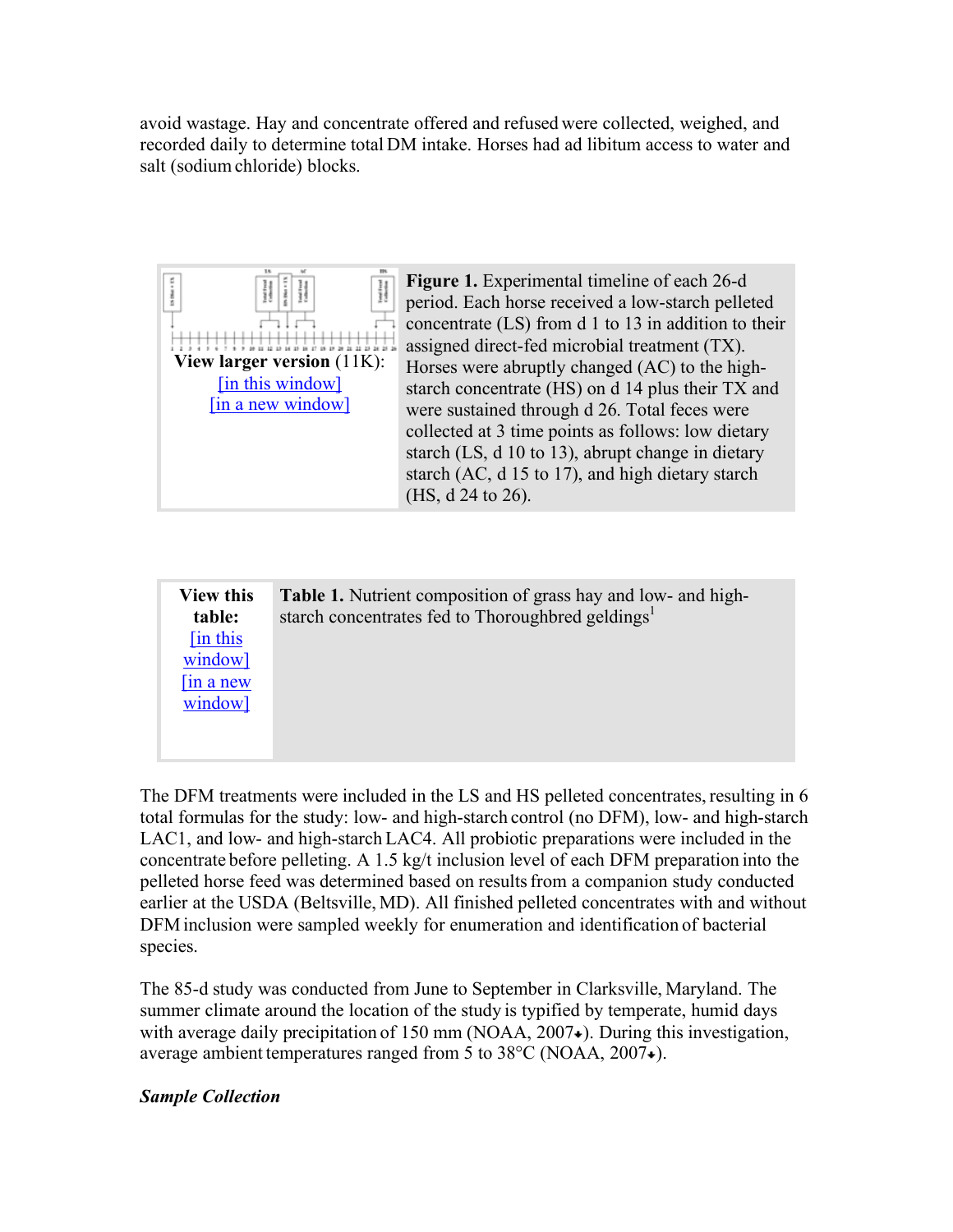avoid wastage. Hay and concentrate offered and refused were collected, weighed, and recorded daily to determine total DM intake. Horses had ad libitum access to water and salt (sodium chloride) blocks.



**Figure 1.** Experimental timeline of each 26-d period. Each horse received a low-starch pelleted concentrate (LS) from d 1 to 13 in addition to their assigned direct-fed microbial treatment (TX). Horses were abruptly changed (AC) to the highstarch concentrate (HS) on d 14 plus their TX and were sustained through d 26. Total feces were collected at 3 time points as follows: low dietary starch (LS, d 10 to 13), abrupt change in dietary starch (AC, d 15 to 17), and high dietary starch (HS, d 24 to 26).

| <b>View this</b><br>table: | Table 1. Nutrient composition of grass hay and low- and high-<br>starch concentrates fed to Thoroughbred geldings <sup>1</sup> |
|----------------------------|--------------------------------------------------------------------------------------------------------------------------------|
| [in this                   |                                                                                                                                |
| window]                    |                                                                                                                                |
| $\sin a$ new               |                                                                                                                                |
| window]                    |                                                                                                                                |
|                            |                                                                                                                                |

The DFM treatments were included in the LS and HS pelleted concentrates, resulting in 6 total formulas for the study: low- and high-starch control (no DFM), low- and high-starch LAC1, and low- and high-starch LAC4. All probiotic preparations were included in the concentrate before pelleting. A 1.5 kg/t inclusion level of each DFM preparation into the pelleted horse feed was determined based on resultsfrom a companion study conducted earlier at the USDA (Beltsville, MD). All finished pelleted concentrates with and without DFM inclusion were sampled weekly for enumeration and identification of bacterial species.

The 85-d study was conducted from June to September in Clarksville, Maryland. The summer climate around the location of the study is typified by temperate, humid days with average daily precipitation of  $150 \text{ mm}$  (NOAA,  $2007\text{$ ). During this investigation, average ambient temperatures ranged from 5 to 38 °C (NOAA, 2007 $\bullet$ ).

### *Sample Collection*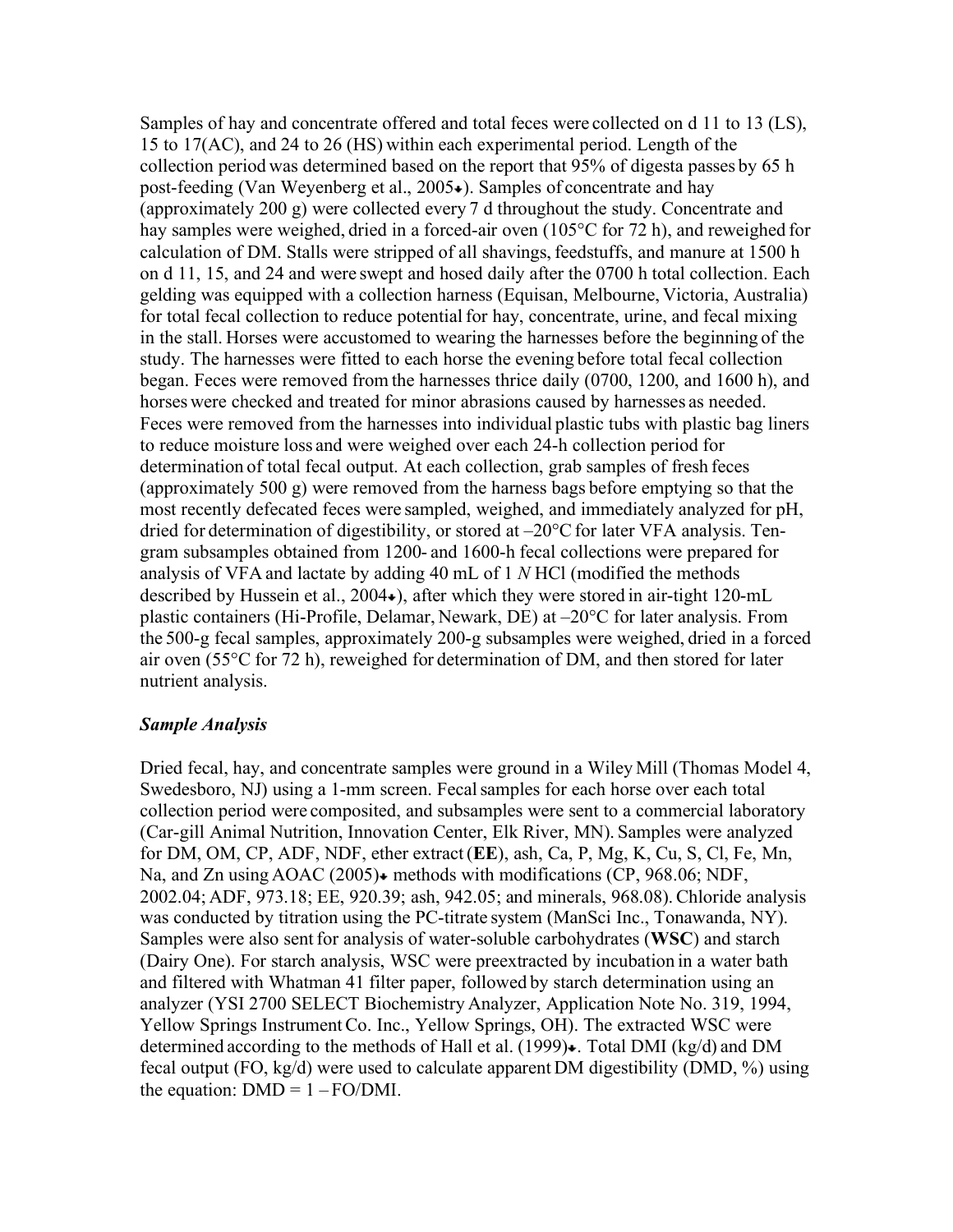Samples of hay and concentrate offered and total feces were collected on d 11 to 13 (LS), 15 to 17(AC), and 24 to 26 (HS) within each experimental period. Length of the collection period was determined based on the report that 95% of digesta passes by 65 h post-feeding (Van Weyenberg et al., 2005 $\star$ ). Samples of concentrate and hay (approximately 200 g) were collected every 7 d throughout the study. Concentrate and hay samples were weighed, dried in a forced-air oven (105°C for 72 h), and reweighed for calculation of DM. Stalls were stripped of all shavings, feedstuffs, and manure at 1500 h on d 11, 15, and 24 and were swept and hosed daily after the 0700 h total collection. Each gelding was equipped with a collection harness (Equisan, Melbourne, Victoria, Australia) for total fecal collection to reduce potential for hay, concentrate, urine, and fecal mixing in the stall. Horses were accustomed to wearing the harnesses before the beginning of the study. The harnesses were fitted to each horse the evening before total fecal collection began. Feces were removed from the harnesses thrice daily (0700, 1200, and 1600 h), and horses were checked and treated for minor abrasions caused by harnesses as needed. Feces were removed from the harnesses into individual plastic tubs with plastic bag liners to reduce moisture loss and were weighed over each 24-h collection period for determination of total fecal output. At each collection, grab samples of fresh feces (approximately 500 g) were removed from the harness bags before emptying so that the most recently defecated feces were sampled, weighed, and immediately analyzed for pH, dried for determination of digestibility, or stored at  $-20^{\circ}$ C for later VFA analysis. Tengram subsamples obtained from 1200- and 1600-h fecal collections were prepared for analysis of VFA and lactate by adding 40 mL of 1 *N* HCl (modified the methods described by Hussein et al., 2004 $\bullet$ ), after which they were stored in air-tight 120-mL plastic containers (Hi-Profile, Delamar, Newark, DE) at –20°C for later analysis. From the 500-g fecal samples, approximately 200-g subsamples were weighed, dried in a forced air oven (55°C for 72 h), reweighed for determination of DM, and then stored for later nutrient analysis.

#### *Sample Analysis*

Dried fecal, hay, and concentrate samples were ground in a Wiley Mill (Thomas Model 4, Swedesboro, NJ) using a 1-mm screen. Fecalsamples for each horse over each total collection period were composited, and subsamples were sent to a commercial laboratory (Car-gill Animal Nutrition, Innovation Center, Elk River, MN). Samples were analyzed for DM, OM, CP, ADF, NDF, ether extract(**EE**), ash, Ca, P, Mg, K, Cu, S, Cl, Fe, Mn, Na, and Zn using  $AOAC$  (2005) $\bullet$  methods with modifications (CP, 968.06; NDF, 2002.04; ADF, 973.18; EE, 920.39; ash, 942.05; and minerals, 968.08). Chloride analysis was conducted by titration using the PC-titrate system (ManSci Inc., Tonawanda, NY). Samples were also sentfor analysis of water-soluble carbohydrates (**WSC**) and starch (Dairy One). For starch analysis, WSC were preextracted by incubation in a water bath and filtered with Whatman 41 filter paper, followed by starch determination using an analyzer (YSI 2700 SELECT Biochemistry Analyzer, Application Note No. 319, 1994, Yellow Springs InstrumentCo. Inc., Yellow Springs, OH). The extracted WSC were determined according to the methods of Hall et al. (1999) $\star$ . Total DMI (kg/d) and DM fecal output (FO, kg/d) were used to calculate apparent DM digestibility (DMD, %) using the equation:  $DMD = 1 - FO/DMI$ .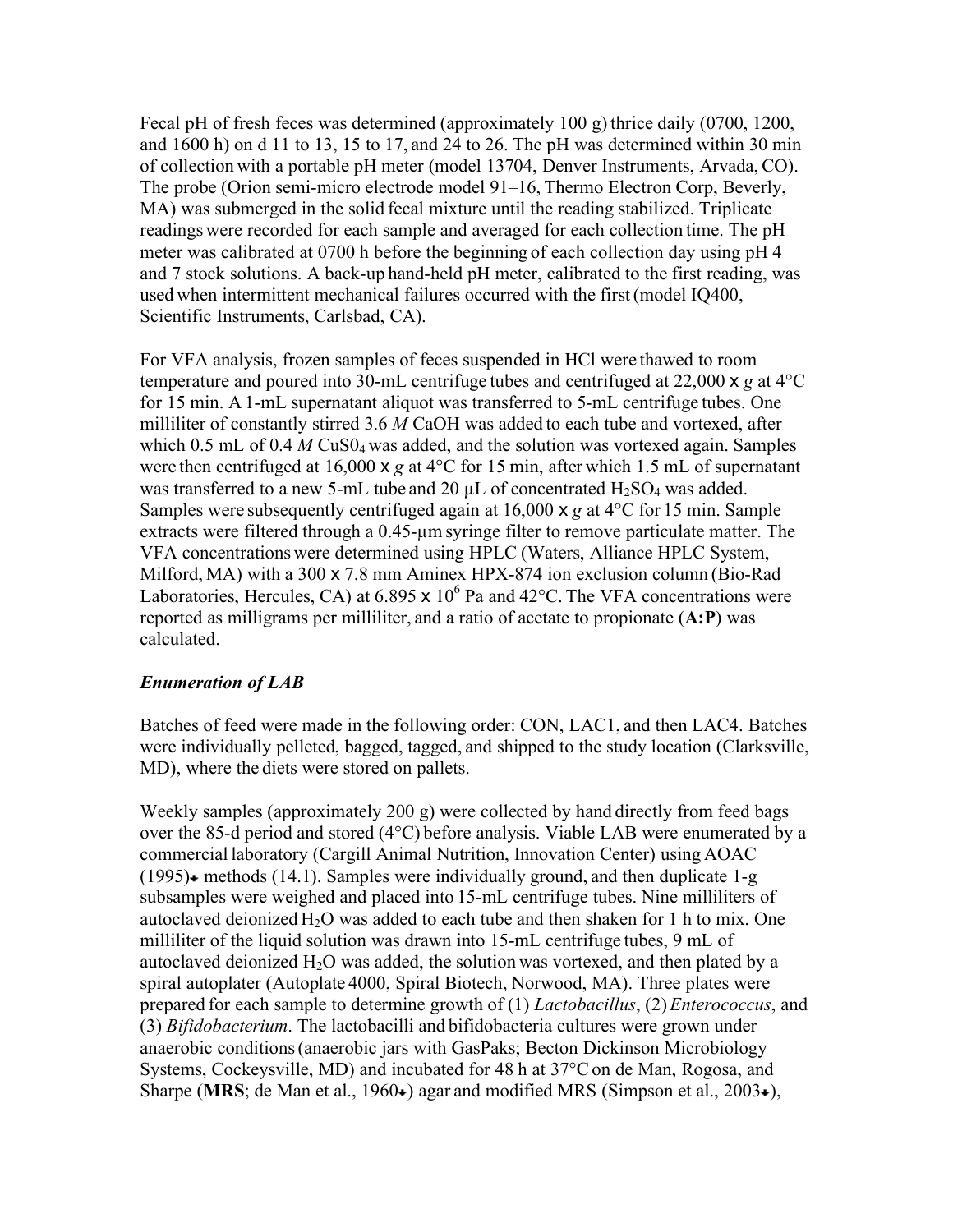Fecal pH of fresh feces was determined (approximately 100 g) thrice daily (0700, 1200, and 1600 h) on d 11 to 13, 15 to 17, and 24 to 26. The pH was determined within 30 min of collection with a portable pH meter (model 13704, Denver Instruments, Arvada, CO). The probe (Orion semi-micro electrode model 91–16, Thermo Electron Corp, Beverly, MA) was submerged in the solid fecal mixture until the reading stabilized. Triplicate readings were recorded for each sample and averaged for each collection time. The pH meter was calibrated at 0700 h before the beginning of each collection day using pH 4 and 7 stock solutions. A back-up hand-held pH meter, calibrated to the first reading, was used when intermittent mechanical failures occurred with the first(model IQ400, Scientific Instruments, Carlsbad, CA).

For VFA analysis, frozen samples of feces suspended in HCl were thawed to room temperature and poured into 30-mL centrifuge tubes and centrifuged at 22,000 x *g* at 4°C for 15 min. A 1-mL supernatant aliquot was transferred to 5-mL centrifuge tubes. One milliliter of constantly stirred 3.6 *M* CaOH was added to each tube and vortexed, after which 0.5 mL of 0.4 *M* CuS0<sub>4</sub> was added, and the solution was vortexed again. Samples were then centrifuged at 16,000 x *g* at 4°C for 15 min, after which 1.5 mL of supernatant was transferred to a new 5-mL tube and 20  $\mu$ L of concentrated H<sub>2</sub>SO<sub>4</sub> was added. Samples were subsequently centrifuged again at 16,000 x *g* at 4°C for 15 min. Sample extracts were filtered through a 0.45-µm syringe filter to remove particulate matter. The VFA concentrations were determined using HPLC (Waters, Alliance HPLC System, Milford, MA) with a 300 x 7.8 mm Aminex HPX-874 ion exclusion column (Bio-Rad Laboratories, Hercules, CA) at 6.895  $\times$  10<sup>6</sup> Pa and 42°C. The VFA concentrations were reported as milligrams per milliliter, and a ratio of acetate to propionate (**A:P**) was calculated.

### *Enumeration of LAB*

Batches of feed were made in the following order: CON, LAC1, and then LAC4. Batches were individually pelleted, bagged, tagged, and shipped to the study location (Clarksville, MD), where the diets were stored on pallets.

Weekly samples (approximately 200 g) were collected by hand directly from feed bags over the 85-d period and stored (4°C) before analysis. Viable LAB were enumerated by a commercial laboratory (Cargill Animal Nutrition, Innovation Center) using AOAC  $(1995)$  methods (14.1). Samples were individually ground, and then duplicate 1-g subsamples were weighed and placed into 15-mL centrifuge tubes. Nine milliliters of autoclaved deionized  $H_2O$  was added to each tube and then shaken for 1 h to mix. One milliliter of the liquid solution was drawn into 15-mL centrifuge tubes, 9 mL of autoclaved deionized  $H_2O$  was added, the solution was vortexed, and then plated by a spiral autoplater (Autoplate 4000, Spiral Biotech, Norwood, MA). Three plates were prepared for each sample to determine growth of (1) *Lactobacillus*, (2)*Enterococcus*, and (3) *Bifidobacterium*. The lactobacilli and bifidobacteria cultures were grown under anaerobic conditions(anaerobic jars with GasPaks; Becton Dickinson Microbiology Systems, Cockeysville, MD) and incubated for 48 h at 37<sup>o</sup>C on de Man, Rogosa, and Sharpe (MRS; de Man et al., 1960 $\star$ ) agar and modified MRS (Simpson et al., 2003 $\star$ ),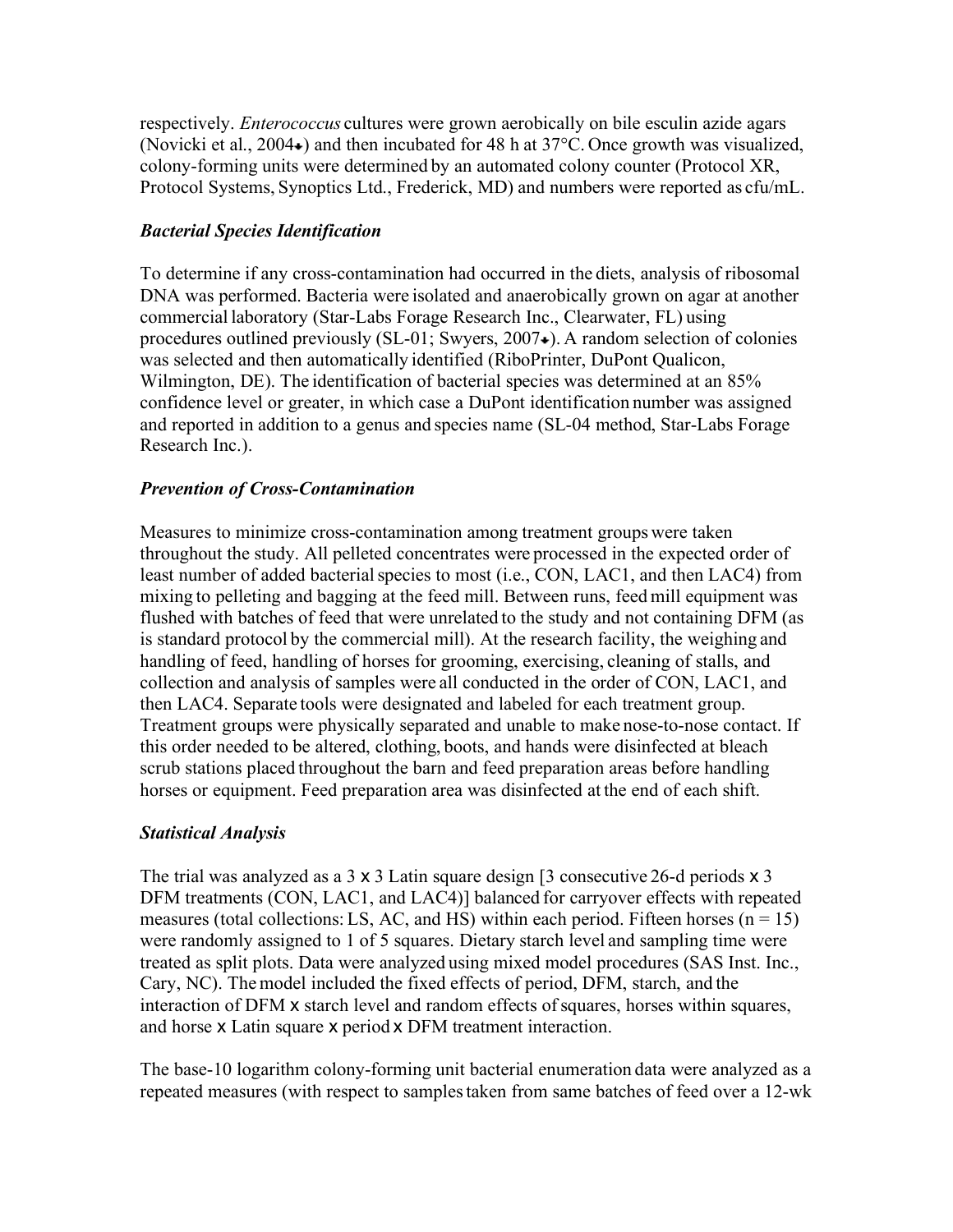respectively. *Enterococcus* cultures were grown aerobically on bile esculin azide agars (Novicki et al., 2004 $\star$ ) and then incubated for 48 h at 37 $\degree$ C. Once growth was visualized, colony-forming units were determined by an automated colony counter (Protocol XR, Protocol Systems, Synoptics Ltd., Frederick, MD) and numbers were reported as cfu/mL.

### *Bacterial Species Identification*

To determine if any cross-contamination had occurred in the diets, analysis of ribosomal DNA was performed. Bacteria were isolated and anaerobically grown on agar at another commercial laboratory (Star-Labs Forage Research Inc., Clearwater, FL) using procedures outlined previously  $(SL-01; Swyers, 2007)$ . A random selection of colonies was selected and then automatically identified (RiboPrinter, DuPont Qualicon, Wilmington, DE). The identification of bacterial species was determined at an 85% confidence level or greater, in which case a DuPont identification number was assigned and reported in addition to a genus and species name (SL-04 method, Star-Labs Forage Research Inc.).

### *Prevention of Cross-Contamination*

Measures to minimize cross-contamination among treatment groups were taken throughout the study. All pelleted concentrates were processed in the expected order of least number of added bacterial species to most (i.e., CON, LAC1, and then LAC4) from mixing to pelleting and bagging at the feed mill. Between runs, feed mill equipment was flushed with batches of feed that were unrelated to the study and not containing DFM (as is standard protocol by the commercial mill). At the research facility, the weighing and handling of feed, handling of horses for grooming, exercising, cleaning of stalls, and collection and analysis of samples were all conducted in the order of CON, LAC1, and then LAC4. Separate tools were designated and labeled for each treatment group. Treatment groups were physically separated and unable to make nose-to-nose contact. If this order needed to be altered, clothing, boots, and hands were disinfected at bleach scrub stations placed throughout the barn and feed preparation areas before handling horses or equipment. Feed preparation area was disinfected at the end of each shift.

### *Statistical Analysis*

The trial was analyzed as a 3 x 3 Latin square design [3 consecutive 26-d periods x 3 DFM treatments (CON, LAC1, and LAC4)] balanced for carryover effects with repeated measures (total collections: LS, AC, and HS) within each period. Fifteen horses ( $n = 15$ ) were randomly assigned to 1 of 5 squares. Dietary starch level and sampling time were treated as split plots. Data were analyzed using mixed model procedures (SAS Inst. Inc., Cary, NC). The model included the fixed effects of period, DFM, starch, and the interaction of DFM x starch level and random effects of squares, horses within squares, and horse x Latin square x period x DFM treatment interaction.

The base-10 logarithm colony-forming unit bacterial enumeration data were analyzed as a repeated measures (with respect to samplestaken from same batches of feed over a 12-wk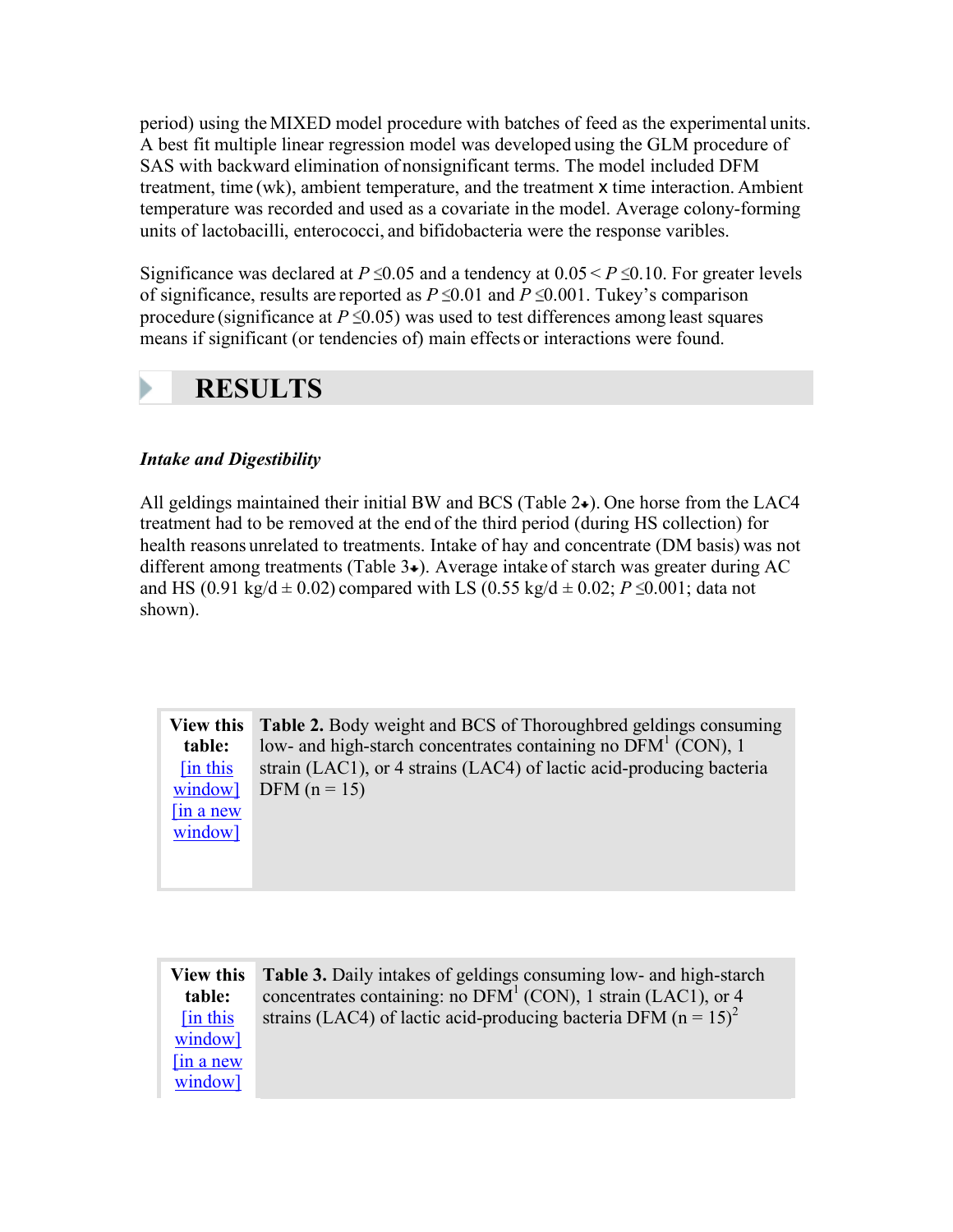period) using the MIXED model procedure with batches of feed as the experimental units. A best fit multiple linear regression model was developed using the GLM procedure of SAS with backward elimination of nonsignificant terms. The model included DFM treatment, time (wk), ambient temperature, and the treatment x time interaction. Ambient temperature was recorded and used as a covariate in the model. Average colony-forming units of lactobacilli, enterococci, and bifidobacteria were the response varibles.

Significance was declared at  $P \le 0.05$  and a tendency at  $0.05 \le P \le 0.10$ . For greater levels of significance, results are reported as  $P \le 0.01$  and  $P \le 0.001$ . Tukey's comparison procedure (significance at  $P \le 0.05$ ) was used to test differences among least squares means if significant (or tendencies of) main effects or interactions were found.

## **RESULTS**

### *Intake and Digestibility*

All geldings maintained their initial BW and BCS (Table  $2\bullet$ ). One horse from the LAC4 treatment had to be removed at the end of the third period (during HS collection) for health reasons unrelated to treatments. Intake of hay and concentrate (DM basis) was not different among treatments (Table  $3\star$ ). Average intake of starch was greater during AC and HS (0.91 kg/d  $\pm$  0.02) compared with LS (0.55 kg/d  $\pm$  0.02; *P* \le 0.001; data not shown).

**View this table:** [in this window]  $\int$ in a new window] **Table 2.** Body weight and BCS of Thoroughbred geldings consuming low- and high-starch concentrates containing no  $\overline{DFM}^1$  (CON), 1 strain (LAC1), or 4 strains (LAC4) of lactic acid-producing bacteria DFM  $(n = 15)$ 

| <b>View this</b> | <b>Table 3.</b> Daily intakes of geldings consuming low- and high-starch       |
|------------------|--------------------------------------------------------------------------------|
| table:           | concentrates containing: no $DFM1$ (CON), 1 strain (LAC1), or 4                |
| [in this]        | strains (LAC4) of lactic acid-producing bacteria DFM ( $n = 15$ ) <sup>2</sup> |
| window]          |                                                                                |
| $\sin a$ new     |                                                                                |
| window]          |                                                                                |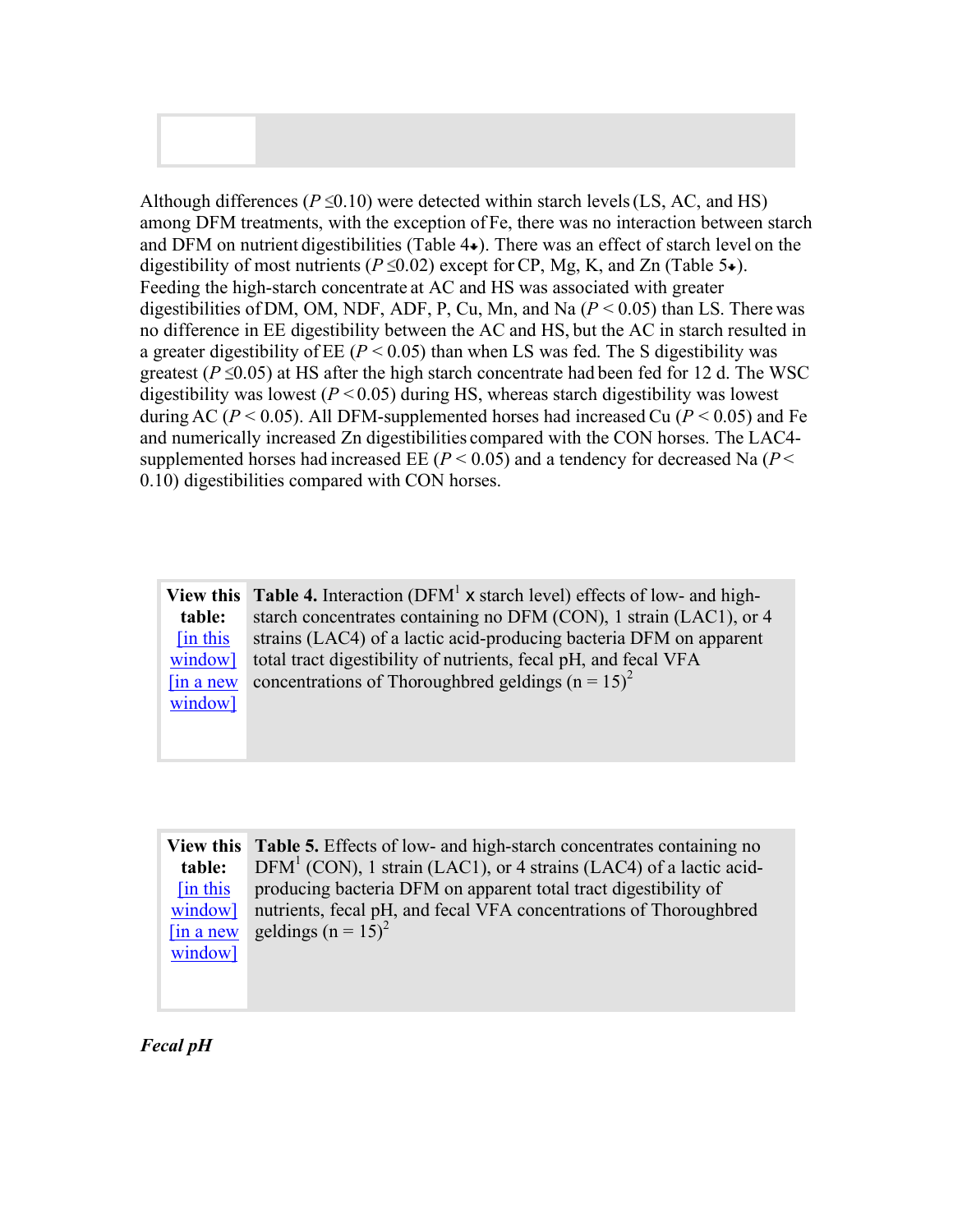Although differences ( $P \le 0.10$ ) were detected within starch levels (LS, AC, and HS) among DFM treatments, with the exception of Fe, there was no interaction between starch and DFM on nutrient digestibilities (Table  $4\bullet$ ). There was an effect of starch level on the digestibility of most nutrients ( $P \le 0.02$ ) except for CP, Mg, K, and Zn (Table 5 $\bullet$ ). Feeding the high-starch concentrate at AC and HS was associated with greater digestibilities of DM, OM, NDF, ADF, P, Cu, Mn, and Na  $(P < 0.05)$  than LS. There was no difference in EE digestibility between the AC and HS, but the AC in starch resulted in a greater digestibility of EE  $(P < 0.05)$  than when LS was fed. The S digestibility was greatest ( $P \le 0.05$ ) at HS after the high starch concentrate had been fed for 12 d. The WSC digestibility was lowest (*P* < 0.05) during HS, whereas starch digestibility was lowest during AC ( $P < 0.05$ ). All DFM-supplemented horses had increased Cu ( $P < 0.05$ ) and Fe and numerically increased Zn digestibilities compared with the CON horses. The LAC4 supplemented horses had increased EE ( $P < 0.05$ ) and a tendency for decreased Na ( $P <$ 0.10) digestibilities compared with CON horses.

**View this table:** [in this window] [in a new window] **Table 4.** Interaction (DFM<sup>1</sup> x starch level) effects of low- and highstarch concentrates containing no DFM (CON), 1 strain (LAC1), or 4 strains (LAC4) of a lactic acid-producing bacteria DFM on apparent total tract digestibility of nutrients, fecal pH, and fecal VFA concentrations of Thoroughbred geldings ( $n = 15$ )<sup>2</sup>

**View this Table 5.** Effects of low- and high-starch concentrates containing no **table:** [in this window] [in a new window]  $DFM<sup>1</sup>$  (CON), 1 strain (LAC1), or 4 strains (LAC4) of a lactic acidproducing bacteria DFM on apparent total tract digestibility of nutrients, fecal pH, and fecal VFA concentrations of Thoroughbred geldings ( $n = 15$ )<sup>2</sup>

*Fecal pH*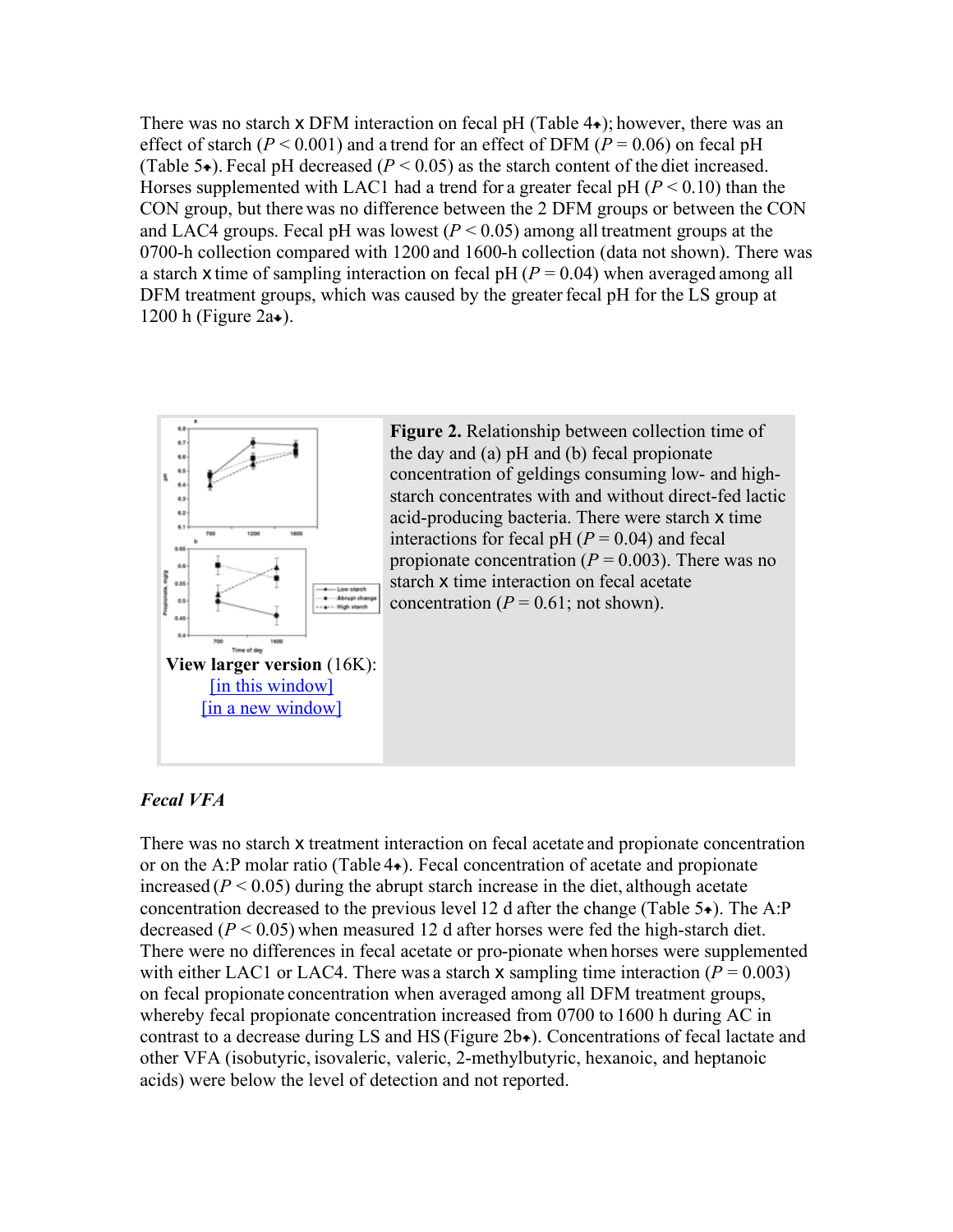There was no starch  $x$  DFM interaction on fecal pH (Table  $4\bullet$ ); however, there was an effect of starch ( $P < 0.001$ ) and a trend for an effect of DFM ( $P = 0.06$ ) on fecal pH (Table 5 $\bullet$ ). Fecal pH decreased ( $P < 0.05$ ) as the starch content of the diet increased. Horses supplemented with LAC1 had a trend for a greater fecal  $pH (P < 0.10)$  than the CON group, but there was no difference between the 2 DFM groups or between the CON and LAC4 groups. Fecal pH was lowest  $(P < 0.05)$  among all treatment groups at the 0700-h collection compared with 1200 and 1600-h collection (data not shown). There was a starch x time of sampling interaction on fecal pH  $(P = 0.04)$  when averaged among all DFM treatment groups, which was caused by the greater fecal pH for the LS group at 1200 h (Figure  $2a\bullet$ ).



**Figure 2.** Relationship between collection time of the day and (a) pH and (b) fecal propionate concentration of geldings consuming low- and highstarch concentrates with and without direct-fed lactic acid-producing bacteria. There were starch x time interactions for fecal pH  $(P = 0.04)$  and fecal propionate concentration  $(P = 0.003)$ . There was no starch x time interaction on fecal acetate concentration ( $P = 0.61$ ; not shown).

### *Fecal VFA*

There was no starch x treatment interaction on fecal acetate and propionate concentration or on the A:P molar ratio (Table  $4\bullet$ ). Fecal concentration of acetate and propionate increased  $(P < 0.05)$  during the abrupt starch increase in the diet, although acetate concentration decreased to the previous level 12 d after the change (Table  $5\div$ ). The A:P decreased  $(P < 0.05)$  when measured 12 d after horses were fed the high-starch diet. There were no differences in fecal acetate or pro-pionate when horses were supplemented with either LAC1 or LAC4. There was a starch  $x$  sampling time interaction ( $P = 0.003$ ) on fecal propionate concentration when averaged among all DFM treatment groups, whereby fecal propionate concentration increased from 0700 to 1600 h during AC in contrast to a decrease during LS and HS (Figure  $2b\rightarrow$ ). Concentrations of fecal lactate and other VFA (isobutyric, isovaleric, valeric, 2-methylbutyric, hexanoic, and heptanoic acids) were below the level of detection and not reported.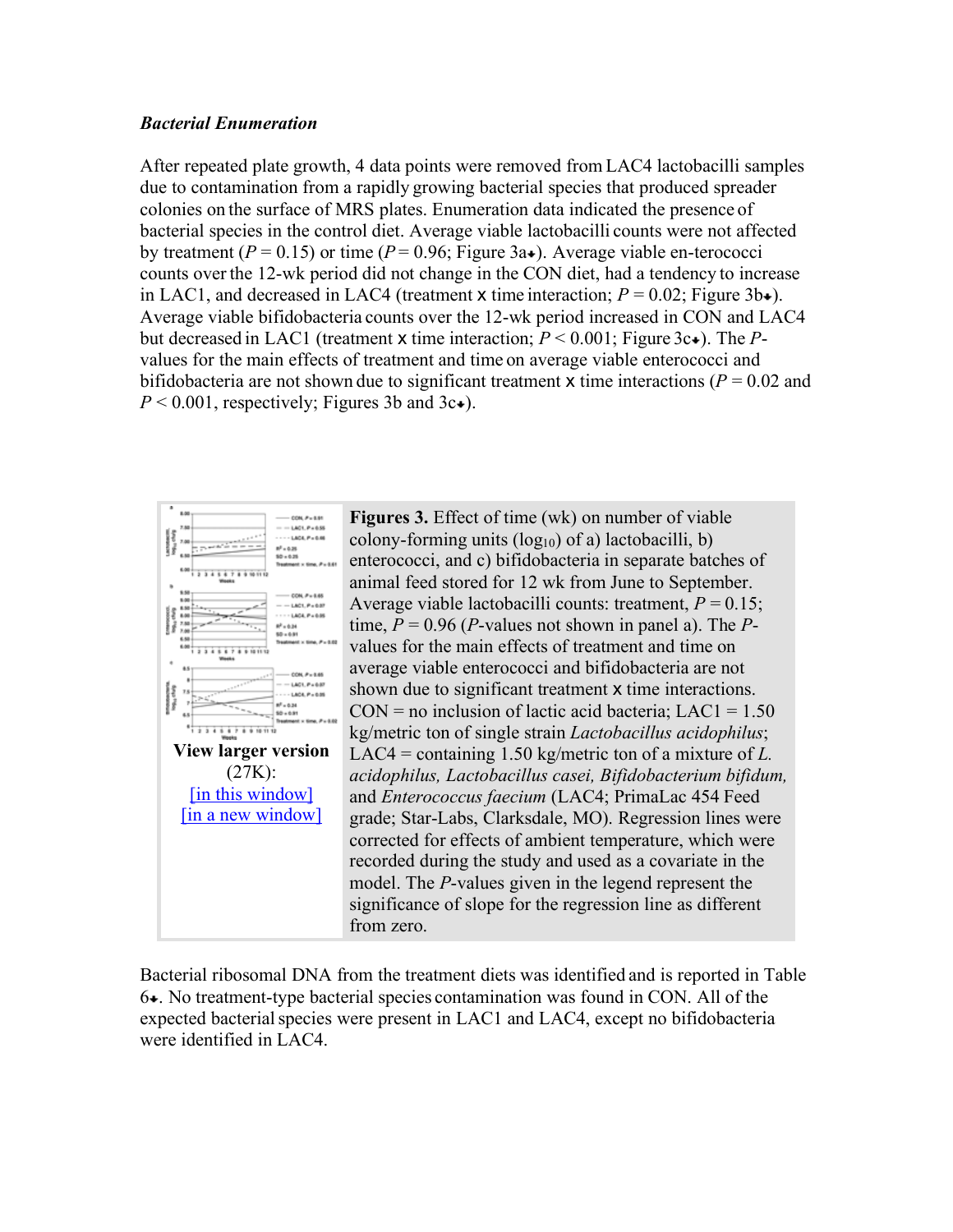#### *Bacterial Enumeration*

After repeated plate growth, 4 data points were removed from LAC4 lactobacilli samples due to contamination from a rapidly growing bacterial species that produced spreader colonies on the surface of MRS plates. Enumeration data indicated the presence of bacterial species in the control diet. Average viable lactobacilli counts were not affected by treatment ( $P = 0.15$ ) or time ( $P = 0.96$ ; Figure 3a.). Average viable en-terococci counts over the 12-wk period did not change in the CON diet, had a tendency to increase in LAC1, and decreased in LAC4 (treatment x time interaction;  $P = 0.02$ ; Figure 3b+). Average viable bifidobacteria counts over the 12-wk period increased in CON and LAC4 but decreased in LAC1 (treatment **x** time interaction;  $P < 0.001$ ; Figure 3c.). The *P*values for the main effects of treatment and time on average viable enterococci and bifidobacteria are not shown due to significant treatment  $x$  time interactions ( $P = 0.02$  and  $P < 0.001$ , respectively; Figures 3b and 3c+).



**Figures 3.** Effect of time (wk) on number of viable colony-forming units  $(log_{10})$  of a) lactobacilli, b) enterococci, and c) bifidobacteria in separate batches of animal feed stored for 12 wk from June to September. Average viable lactobacilli counts: treatment, *P* = 0.15; time,  $P = 0.96$  (*P*-values not shown in panel a). The *P*values for the main effects of treatment and time on average viable enterococci and bifidobacteria are not shown due to significant treatment **x** time interactions.  $CON = no$  inclusion of lactic acid bacteria;  $LAC1 = 1.50$ kg/metric ton of single strain *Lactobacillus acidophilus*; LAC4 = containing 1.50 kg/metric ton of a mixture of *L. acidophilus, Lactobacillus casei, Bifidobacterium bifidum,* and *Enterococcus faecium* (LAC4; PrimaLac 454 Feed grade; Star-Labs, Clarksdale, MO). Regression lines were corrected for effects of ambient temperature, which were recorded during the study and used as a covariate in the model. The *P*-values given in the legend represent the significance of slope for the regression line as different from zero.

Bacterial ribosomal DNA from the treatment diets was identified and is reported in Table  $6\text{-}$ . No treatment-type bacterial species contamination was found in CON. All of the expected bacterial species were present in LAC1 and LAC4, except no bifidobacteria were identified in LAC4.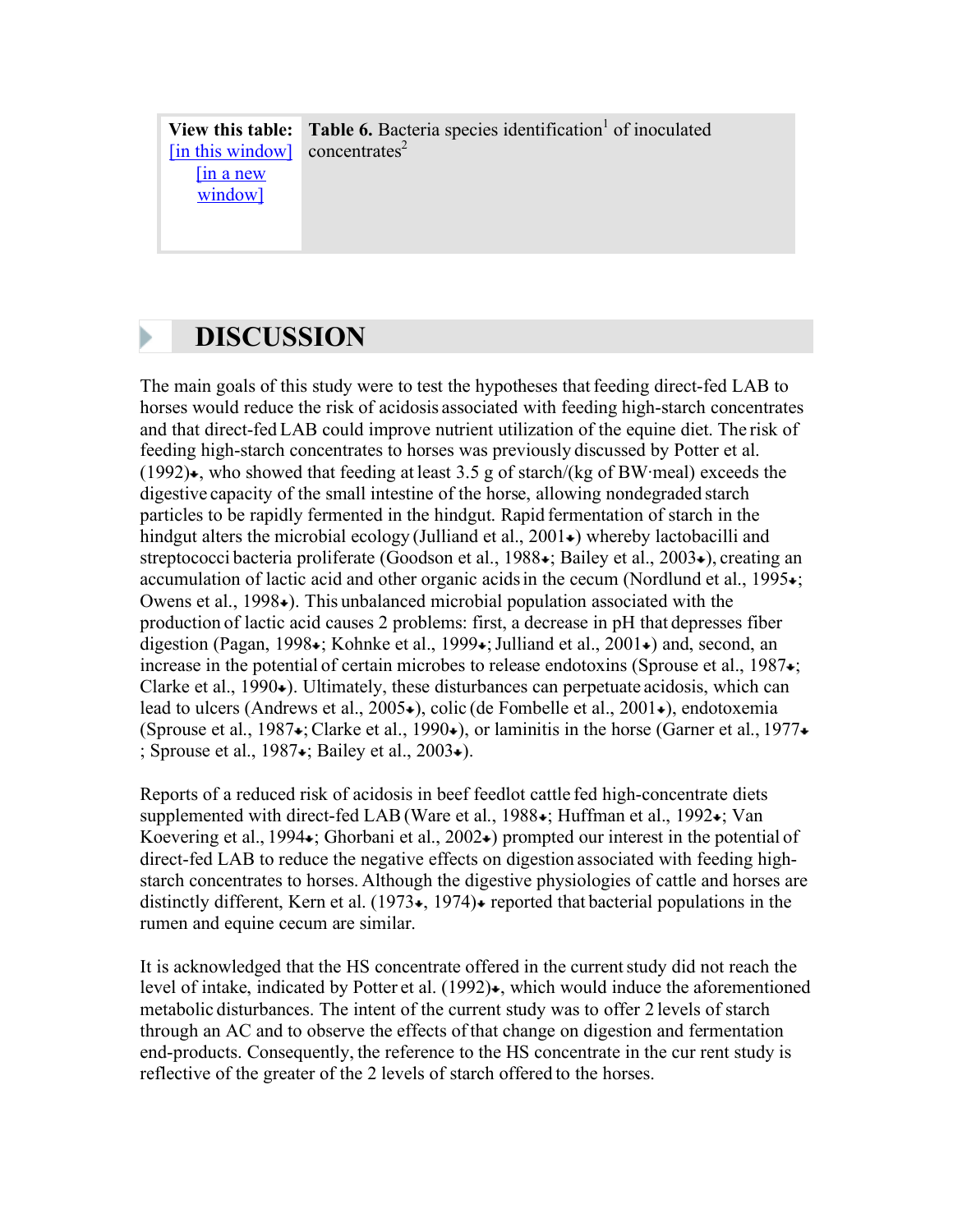**View this table:** [in this window] [in a new window] **Table 6.** Bacteria species identification<sup>1</sup> of inoculated  $concentrates<sup>2</sup>$ 

### **DISCUSSION**

The main goals of this study were to test the hypotheses that feeding direct-fed LAB to horses would reduce the risk of acidosis associated with feeding high-starch concentrates and that direct-fed LAB could improve nutrient utilization of the equine diet. The risk of feeding high-starch concentrates to horses was previously discussed by Potter et al.  $(1992)$ . who showed that feeding at least 3.5 g of starch/(kg of BW·meal) exceeds the digestive capacity of the small intestine of the horse, allowing nondegraded starch particles to be rapidly fermented in the hindgut. Rapid fermentation of starch in the hindgut alters the microbial ecology (Julliand et al.,  $2001\star$ ) whereby lactobacilli and streptococci bacteria proliferate (Goodson et al., 1988  $\star$ ; Bailey et al., 2003 $\star$ ), creating an accumulation of lactic acid and other organic acids in the cecum (Nordlund et al., 1995 $\star$ ; Owens et al.,  $1998\bullet$ ). This unbalanced microbial population associated with the production of lactic acid causes 2 problems: first, a decrease in pH that depresses fiber digestion (Pagan, 1998 $\star$ ; Kohnke et al., 1999 $\star$ ; Julliand et al., 2001 $\star$ ) and, second, an increase in the potential of certain microbes to release endotoxins (Sprouse et al., 1987 $\star$ ; Clarke et al.,  $1990\bullet$ ). Ultimately, these disturbances can perpetuate acidosis, which can lead to ulcers (Andrews et al.,  $2005\bullet$ ), colic (de Fombelle et al.,  $2001\bullet$ ), endotoxemia (Sprouse et al., 1987 $\div$ : Clarke et al., 1990 $\leftrightarrow$ ), or laminitis in the horse (Garner et al., 1977 $\div$ ; Sprouse et al.,  $1987 \div$ ; Bailey et al.,  $2003 \div$ ).

Reports of a reduced risk of acidosis in beef feedlot cattle fed high-concentrate diets supplemented with direct-fed LAB (Ware et al., 1988 $\star$ ; Huffman et al., 1992 $\star$ ; Van Koevering et al., 1994 $\star$ ; Ghorbani et al., 2002 $\star$ ) prompted our interest in the potential of direct-fed LAB to reduce the negative effects on digestion associated with feeding highstarch concentrates to horses. Although the digestive physiologies of cattle and horses are distinctly different, Kern et al. (1973 $\star$ , 1974) $\star$  reported that bacterial populations in the rumen and equine cecum are similar.

It is acknowledged that the HS concentrate offered in the currentstudy did not reach the level of intake, indicated by Potter et al.  $(1992)$ , which would induce the aforementioned metabolic disturbances. The intent of the current study was to offer 2 levels of starch through an AC and to observe the effects of that change on digestion and fermentation end-products. Consequently, the reference to the HS concentrate in the cur rent study is reflective of the greater of the 2 levels of starch offered to the horses.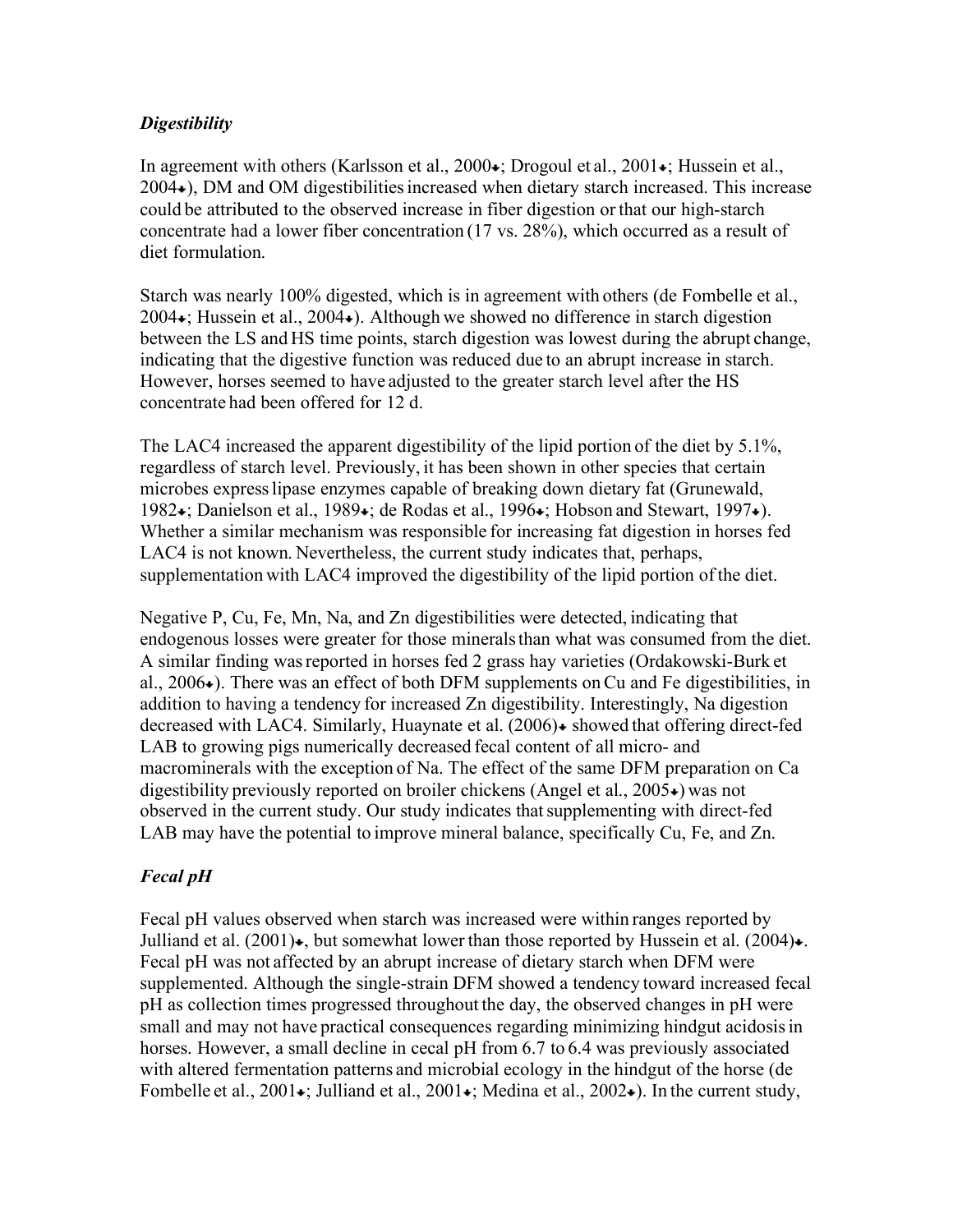### *Digestibility*

In agreement with others (Karlsson et al., 2000 $\star$ ; Drogoul et al., 2001 $\star$ ; Hussein et al., 2004 ), DM and OM digestibilitiesincreased when dietary starch increased. This increase could be attributed to the observed increase in fiber digestion or that our high-starch concentrate had a lower fiber concentration (17 vs. 28%), which occurred as a result of diet formulation.

Starch was nearly 100% digested, which is in agreement with others (de Fombelle et al.,  $2004 \div$ ; Hussein et al.,  $2004 \div$ ). Although we showed no difference in starch digestion between the LS and HS time points, starch digestion was lowest during the abrupt change, indicating that the digestive function was reduced due to an abrupt increase in starch. However, horses seemed to have adjusted to the greater starch level after the HS concentrate had been offered for 12 d.

The LAC4 increased the apparent digestibility of the lipid portion of the diet by 5.1%, regardless of starch level. Previously, it has been shown in other species that certain microbes expresslipase enzymes capable of breaking down dietary fat (Grunewald, 1982 •; Danielson et al., 1989 •; de Rodas et al., 1996 •; Hobson and Stewart, 1997 •). Whether a similar mechanism was responsible for increasing fat digestion in horses fed LAC4 is not known. Nevertheless, the current study indicates that, perhaps, supplementation with LAC4 improved the digestibility of the lipid portion of the diet.

Negative P, Cu, Fe, Mn, Na, and Zn digestibilities were detected, indicating that endogenous losses were greater for those mineralsthan what was consumed from the diet. A similar finding wasreported in horses fed 2 grass hay varieties (Ordakowski-Burk et al.,  $2006\star$ ). There was an effect of both DFM supplements on Cu and Fe digestibilities, in addition to having a tendency for increased Zn digestibility. Interestingly, Na digestion decreased with LAC4. Similarly, Huaynate et al.  $(2006)$   $\bullet$  showed that offering direct-fed LAB to growing pigs numerically decreased fecal content of all micro- and macrominerals with the exception of Na. The effect of the same DFM preparation on Ca digestibility previously reported on broiler chickens (Angel et al.,  $2005\div$ ) was not observed in the current study. Our study indicates that supplementing with direct-fed LAB may have the potential to improve mineral balance, specifically Cu, Fe, and Zn.

### *Fecal pH*

Fecal pH values observed when starch was increased were within ranges reported by Julliand et al.  $(2001)$ , but somewhat lower than those reported by Hussein et al.  $(2004)$ . Fecal pH was not affected by an abrupt increase of dietary starch when DFM were supplemented. Although the single-strain DFM showed a tendency toward increased fecal pH as collection times progressed throughout the day, the observed changes in pH were small and may not have practical consequences regarding minimizing hindgut acidosisin horses. However, a small decline in cecal pH from 6.7 to 6.4 was previously associated with altered fermentation patterns and microbial ecology in the hindgut of the horse (de Fombelle et al., 2001 $\star$ ; Julliand et al., 2001 $\star$ ; Medina et al., 2002 $\star$ ). In the current study,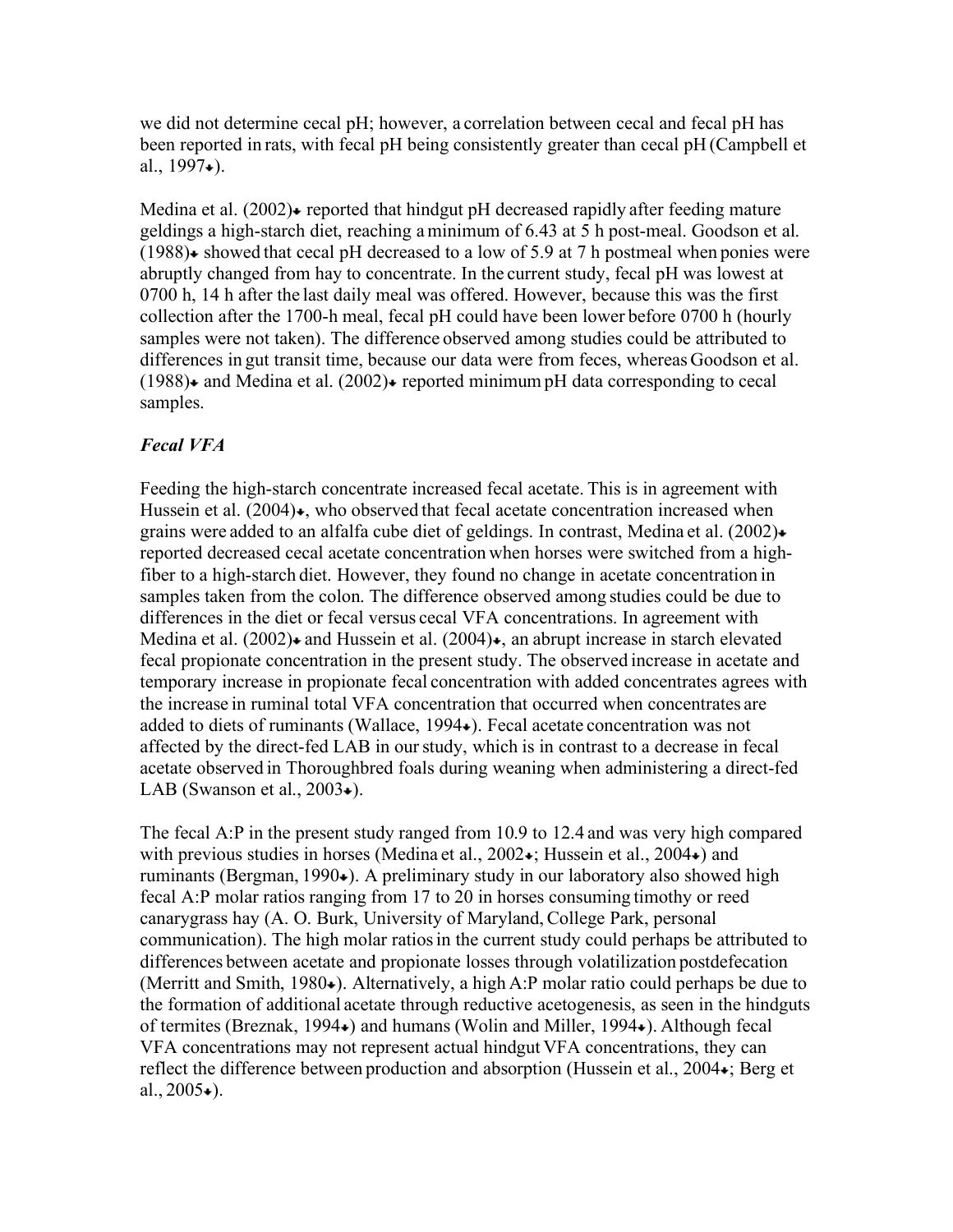we did not determine cecal pH; however, a correlation between cecal and fecal pH has been reported in rats, with fecal pH being consistently greater than cecal pH (Campbell et al.,  $1997\bullet$ ).

Medina et al.  $(2002)$  reported that hindgut pH decreased rapidly after feeding mature geldings a high-starch diet, reaching a minimum of 6.43 at 5 h post-meal. Goodson et al.  $(1988)$  showed that cecal pH decreased to a low of 5.9 at 7 h postmeal when ponies were abruptly changed from hay to concentrate. In the current study, fecal pH was lowest at 0700 h, 14 h after the last daily meal was offered. However, because this was the first collection after the 1700-h meal, fecal pH could have been lower before 0700 h (hourly samples were not taken). The difference observed among studies could be attributed to differences in gut transit time, because our data were from feces, whereas Goodson et al.  $(1988)$  and Medina et al.  $(2002)$  reported minimum pH data corresponding to cecal samples.

### *Fecal VFA*

Feeding the high-starch concentrate increased fecal acetate. This is in agreement with Hussein et al.  $(2004)$ , who observed that fecal acetate concentration increased when grains were added to an alfalfa cube diet of geldings. In contrast, Medina et al. (2002) reported decreased cecal acetate concentration when horses were switched from a highfiber to a high-starch diet. However, they found no change in acetate concentration in samples taken from the colon. The difference observed among studies could be due to differences in the diet or fecal versus cecal VFA concentrations. In agreement with Medina et al.  $(2002)$  and Hussein et al.  $(2004)$  , an abrupt increase in starch elevated fecal propionate concentration in the present study. The observed increase in acetate and temporary increase in propionate fecal concentration with added concentrates agrees with the increase in ruminal total VFA concentration that occurred when concentrates are added to diets of ruminants (Wallace, 1994 $\bullet$ ). Fecal acetate concentration was not affected by the direct-fed LAB in ourstudy, which is in contrast to a decrease in fecal acetate observed in Thoroughbred foals during weaning when administering a direct-fed LAB (Swanson et al.,  $2003\bullet$ ).

The fecal A:P in the present study ranged from 10.9 to 12.4 and was very high compared with previous studies in horses (Medina et al.,  $2002 \div$ ; Hussein et al.,  $2004 \div$ ) and ruminants (Bergman, 1990 $\star$ ). A preliminary study in our laboratory also showed high fecal A:P molar ratios ranging from 17 to 20 in horses consuming timothy or reed canarygrass hay (A. O. Burk, University of Maryland, College Park, personal communication). The high molar ratiosin the current study could perhaps be attributed to differences between acetate and propionate losses through volatilization postdefecation (Merritt and Smith, 1980 $\bullet$ ). Alternatively, a high A:P molar ratio could perhaps be due to the formation of additional acetate through reductive acetogenesis, as seen in the hindguts of termites (Breznak, 1994 ) and humans (Wolin and Miller, 1994 ). Although fecal VFA concentrations may not represent actual hindgut VFA concentrations, they can reflect the difference between production and absorption (Hussein et al., 2004 $\star$ ; Berg et al.,  $2005 \div$ ).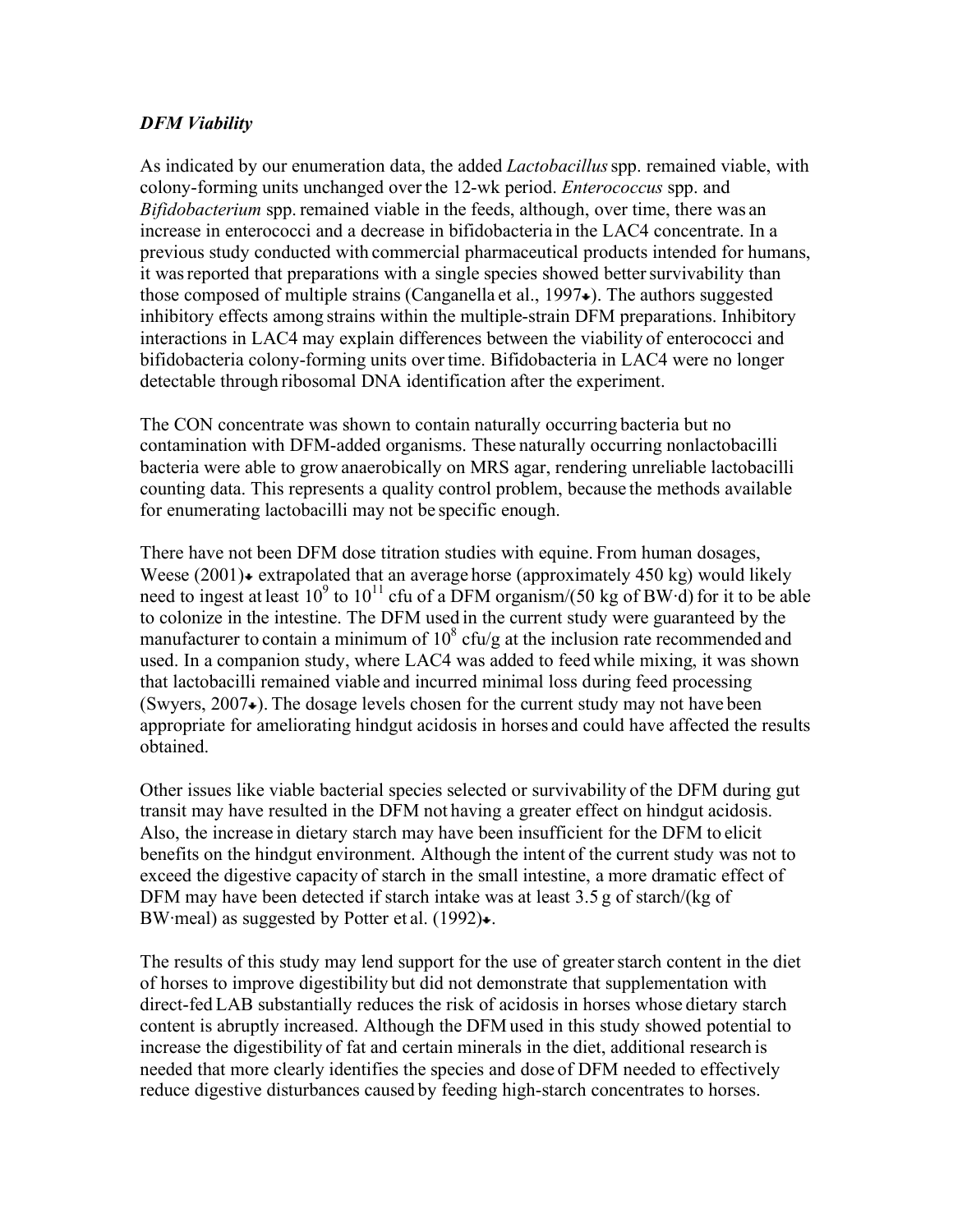### *DFM Viability*

As indicated by our enumeration data, the added *Lactobacillus*spp. remained viable, with colony-forming units unchanged over the 12-wk period. *Enterococcus* spp. and *Bifidobacterium* spp. remained viable in the feeds, although, over time, there was an increase in enterococci and a decrease in bifidobacteria in the LAC4 concentrate. In a previous study conducted with commercial pharmaceutical products intended for humans, it was reported that preparations with a single species showed better survivability than those composed of multiple strains (Canganella et al.,  $1997\star$ ). The authors suggested inhibitory effects among strains within the multiple-strain DFM preparations. Inhibitory interactions in LAC4 may explain differences between the viability of enterococci and bifidobacteria colony-forming units over time. Bifidobacteria in LAC4 were no longer detectable through ribosomal DNA identification after the experiment.

The CON concentrate was shown to contain naturally occurring bacteria but no contamination with DFM-added organisms. These naturally occurring nonlactobacilli bacteria were able to grow anaerobically on MRS agar, rendering unreliable lactobacilli counting data. This represents a quality control problem, because the methods available for enumerating lactobacilli may not be specific enough.

There have not been DFM dose titration studies with equine. From human dosages, Weese  $(2001)$  extrapolated that an average horse (approximately 450 kg) would likely need to ingest at least  $10^9$  to  $10^{11}$  cfu of a DFM organism/(50 kg of BW·d) for it to be able to colonize in the intestine. The DFM used in the current study were guaranteed by the manufacturer to contain a minimum of  $10^8$  cfu/g at the inclusion rate recommended and used. In a companion study, where LAC4 was added to feed while mixing, it was shown that lactobacilli remained viable and incurred minimal loss during feed processing (Swyers,  $2007 \div$ ). The dosage levels chosen for the current study may not have been appropriate for ameliorating hindgut acidosis in horses and could have affected the results obtained.

Other issues like viable bacterial species selected or survivability of the DFM during gut transit may have resulted in the DFM not having a greater effect on hindgut acidosis. Also, the increase in dietary starch may have been insufficient for the DFM to elicit benefits on the hindgut environment. Although the intent of the current study was not to exceed the digestive capacity of starch in the small intestine, a more dramatic effect of DFM may have been detected if starch intake was at least 3.5 g of starch/(kg of BW·meal) as suggested by Potter et al.  $(1992)$ .

The results of this study may lend support for the use of greater starch content in the diet of horses to improve digestibility but did not demonstrate that supplementation with direct-fed LAB substantially reduces the risk of acidosis in horses whose dietary starch content is abruptly increased. Although the DFM used in this study showed potential to increase the digestibility of fat and certain minerals in the diet, additional research is needed that more clearly identifies the species and dose of DFM needed to effectively reduce digestive disturbances caused by feeding high-starch concentrates to horses.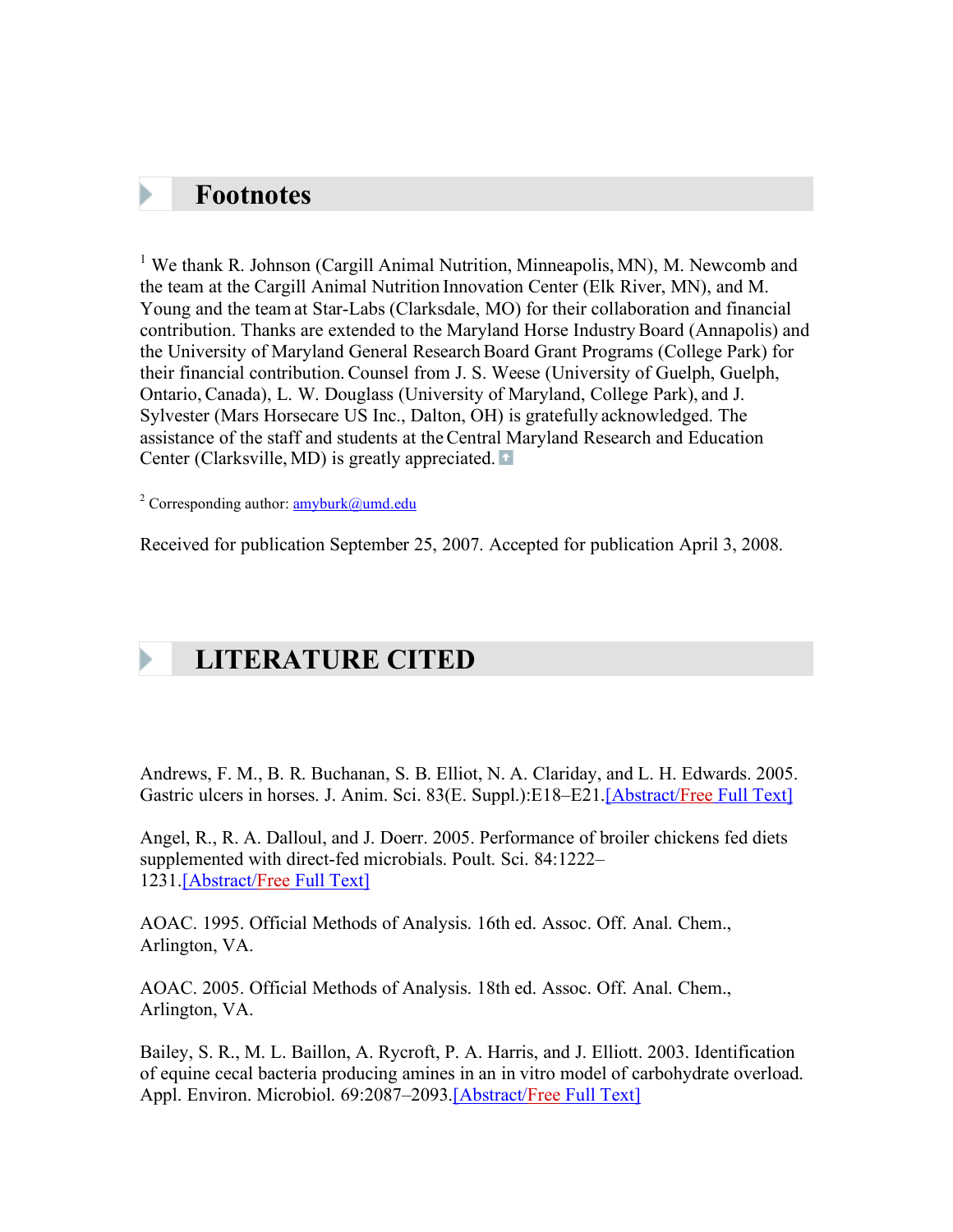### **Footnotes**

<sup>1</sup> We thank R. Johnson (Cargill Animal Nutrition, Minneapolis, MN), M. Newcomb and the team at the Cargill Animal Nutrition Innovation Center (Elk River, MN), and M. Young and the team at Star-Labs (Clarksdale, MO) for their collaboration and financial contribution. Thanks are extended to the Maryland Horse IndustryBoard (Annapolis) and the University of Maryland General ResearchBoard Grant Programs (College Park) for their financial contribution. Counsel from J. S. Weese (University of Guelph, Guelph, Ontario, Canada), L. W. Douglass (University of Maryland, College Park), and J. Sylvester (Mars Horsecare US Inc., Dalton, OH) is gratefully acknowledged. The assistance of the staff and students at theCentral Maryland Research and Education Center (Clarksville, MD) is greatly appreciated.

<sup>2</sup> Corresponding author:  $\frac{amyburk@umd.edu}{amyburk@umd.edu}$ 

Received for publication September 25, 2007. Accepted for publication April 3, 2008.

# **LITERATURE CITED**

Andrews, F. M., B. R. Buchanan, S. B. Elliot, N. A. Clariday, and L. H. Edwards. 2005. Gastric ulcers in horses. J. Anim. Sci. 83(E. Suppl.):E18–E21.[Abstract/Free Full Text]

Angel, R., R. A. Dalloul, and J. Doerr. 2005. Performance of broiler chickens fed diets supplemented with direct-fed microbials. Poult. Sci. 84:1222– 1231.[Abstract/Free Full Text]

AOAC. 1995. Official Methods of Analysis. 16th ed. Assoc. Off. Anal. Chem., Arlington, VA.

AOAC. 2005. Official Methods of Analysis. 18th ed. Assoc. Off. Anal. Chem., Arlington, VA.

Bailey, S. R., M. L. Baillon, A. Rycroft, P. A. Harris, and J. Elliott. 2003. Identification of equine cecal bacteria producing amines in an in vitro model of carbohydrate overload. Appl. Environ. Microbiol. 69:2087-2093.[Abstract/Free Full Text]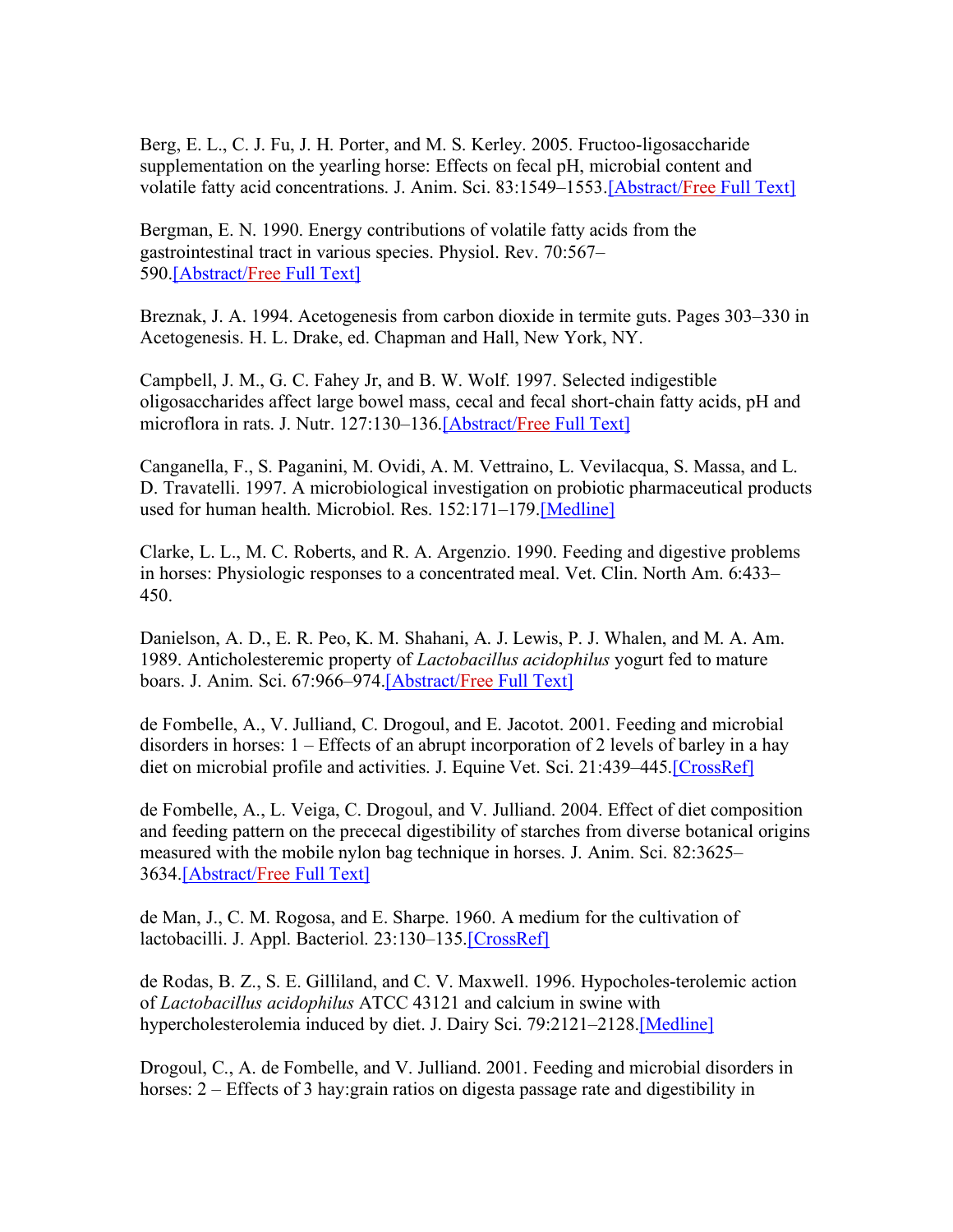Berg, E. L., C. J. Fu, J. H. Porter, and M. S. Kerley. 2005. Fructoo-ligosaccharide supplementation on the yearling horse: Effects on fecal pH, microbial content and volatile fatty acid concentrations. J. Anim. Sci. 83:1549–1553.[Abstract/Free Full Text]

Bergman, E. N. 1990. Energy contributions of volatile fatty acids from the gastrointestinal tract in various species. Physiol. Rev. 70:567– 590.[Abstract/Free Full Text]

Breznak, J. A. 1994. Acetogenesis from carbon dioxide in termite guts. Pages 303–330 in Acetogenesis. H. L. Drake, ed. Chapman and Hall, New York, NY.

Campbell, J. M., G. C. Fahey Jr, and B. W. Wolf. 1997. Selected indigestible oligosaccharides affect large bowel mass, cecal and fecal short-chain fatty acids, pH and microflora in rats. J. Nutr. 127:130–136.[Abstract/Free Full Text]

Canganella, F., S. Paganini, M. Ovidi, A. M. Vettraino, L. Vevilacqua, S. Massa, and L. D. Travatelli. 1997. A microbiological investigation on probiotic pharmaceutical products used for human health. Microbiol. Res. 152:171–179.[Medline]

Clarke, L. L., M. C. Roberts, and R. A. Argenzio. 1990. Feeding and digestive problems in horses: Physiologic responses to a concentrated meal. Vet. Clin. North Am. 6:433– 450.

Danielson, A. D., E. R. Peo, K. M. Shahani, A. J. Lewis, P. J. Whalen, and M. A. Am. 1989. Anticholesteremic property of *Lactobacillus acidophilus* yogurt fed to mature boars. J. Anim. Sci. 67:966-974.[Abstract/Free Full Text]

de Fombelle, A., V. Julliand, C. Drogoul, and E. Jacotot. 2001. Feeding and microbial disorders in horses: 1 – Effects of an abrupt incorporation of 2 levels of barley in a hay diet on microbial profile and activities. J. Equine Vet. Sci. 21:439–445.[CrossRef]

de Fombelle, A., L. Veiga, C. Drogoul, and V. Julliand. 2004. Effect of diet composition and feeding pattern on the prececal digestibility of starches from diverse botanical origins measured with the mobile nylon bag technique in horses. J. Anim. Sci. 82:3625– 3634.[Abstract/Free Full Text]

de Man, J., C. M. Rogosa, and E. Sharpe. 1960. A medium for the cultivation of lactobacilli. J. Appl. Bacteriol. 23:130–135.[CrossRef]

de Rodas, B. Z., S. E. Gilliland, and C. V. Maxwell. 1996. Hypocholes-terolemic action of *Lactobacillus acidophilus* ATCC 43121 and calcium in swine with hypercholesterolemia induced by diet. J. Dairy Sci. 79:2121–2128.[Medline]

Drogoul, C., A. de Fombelle, and V. Julliand. 2001. Feeding and microbial disorders in horses: 2 – Effects of 3 hay: grain ratios on digesta passage rate and digestibility in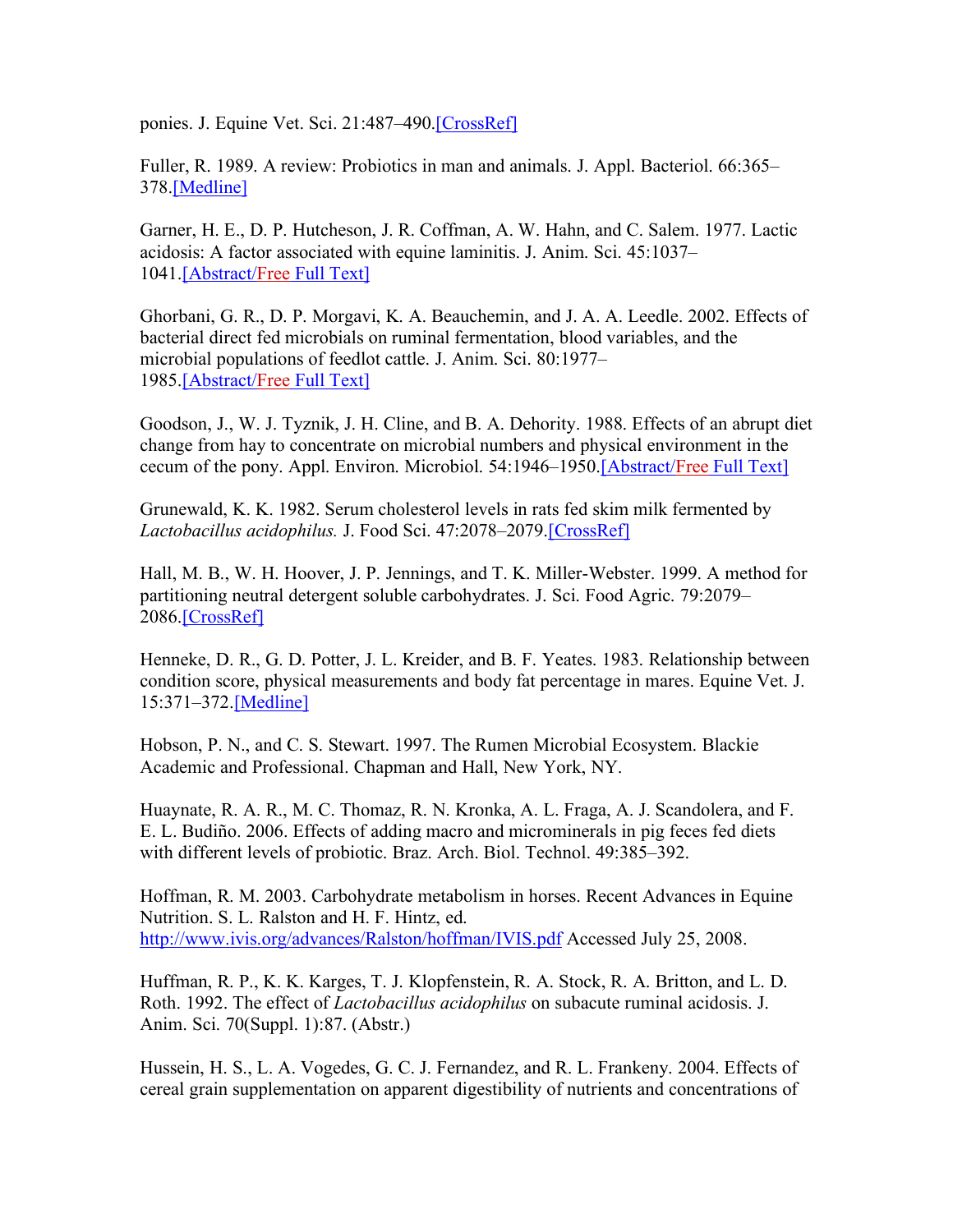ponies. J. Equine Vet. Sci. 21:487–490.[CrossRef]

Fuller, R. 1989. A review: Probiotics in man and animals. J. Appl. Bacteriol. 66:365– 378.[Medline]

Garner, H. E., D. P. Hutcheson, J. R. Coffman, A. W. Hahn, and C. Salem. 1977. Lactic acidosis: A factor associated with equine laminitis. J. Anim. Sci. 45:1037– 1041.[Abstract/Free Full Text]

Ghorbani, G. R., D. P. Morgavi, K. A. Beauchemin, and J. A. A. Leedle. 2002. Effects of bacterial direct fed microbials on ruminal fermentation, blood variables, and the microbial populations of feedlot cattle. J. Anim. Sci. 80:1977– 1985.[Abstract/Free Full Text]

Goodson, J., W. J. Tyznik, J. H. Cline, and B. A. Dehority. 1988. Effects of an abrupt diet change from hay to concentrate on microbial numbers and physical environment in the cecum of the pony. Appl. Environ. Microbiol. 54:1946–1950.[Abstract/Free Full Text]

Grunewald, K. K. 1982. Serum cholesterol levels in rats fed skim milk fermented by *Lactobacillus acidophilus.* J. Food Sci. 47:2078–2079.[CrossRef]

Hall, M. B., W. H. Hoover, J. P. Jennings, and T. K. Miller-Webster. 1999. A method for partitioning neutral detergent soluble carbohydrates. J. Sci. Food Agric. 79:2079– 2086.[CrossRef]

Henneke, D. R., G. D. Potter, J. L. Kreider, and B. F. Yeates. 1983. Relationship between condition score, physical measurements and body fat percentage in mares. Equine Vet. J. 15:371–372.[Medline]

Hobson, P. N., and C. S. Stewart. 1997. The Rumen Microbial Ecosystem. Blackie Academic and Professional. Chapman and Hall, New York, NY.

Huaynate, R. A. R., M. C. Thomaz, R. N. Kronka, A. L. Fraga, A. J. Scandolera, and F. E. L. Budiño. 2006. Effects of adding macro and microminerals in pig feces fed diets with different levels of probiotic. Braz. Arch. Biol. Technol. 49:385–392.

Hoffman, R. M. 2003. Carbohydrate metabolism in horses. Recent Advances in Equine Nutrition. S. L. Ralston and H. F. Hintz, ed. http://www.ivis.org/advances/Ralston/hoffman/IVIS.pdf Accessed July 25, 2008.

Huffman, R. P., K. K. Karges, T. J. Klopfenstein, R. A. Stock, R. A. Britton, and L. D. Roth. 1992. The effect of *Lactobacillus acidophilus* on subacute ruminal acidosis. J. Anim. Sci. 70(Suppl. 1):87. (Abstr.)

Hussein, H. S., L. A. Vogedes, G. C. J. Fernandez, and R. L. Frankeny. 2004. Effects of cereal grain supplementation on apparent digestibility of nutrients and concentrations of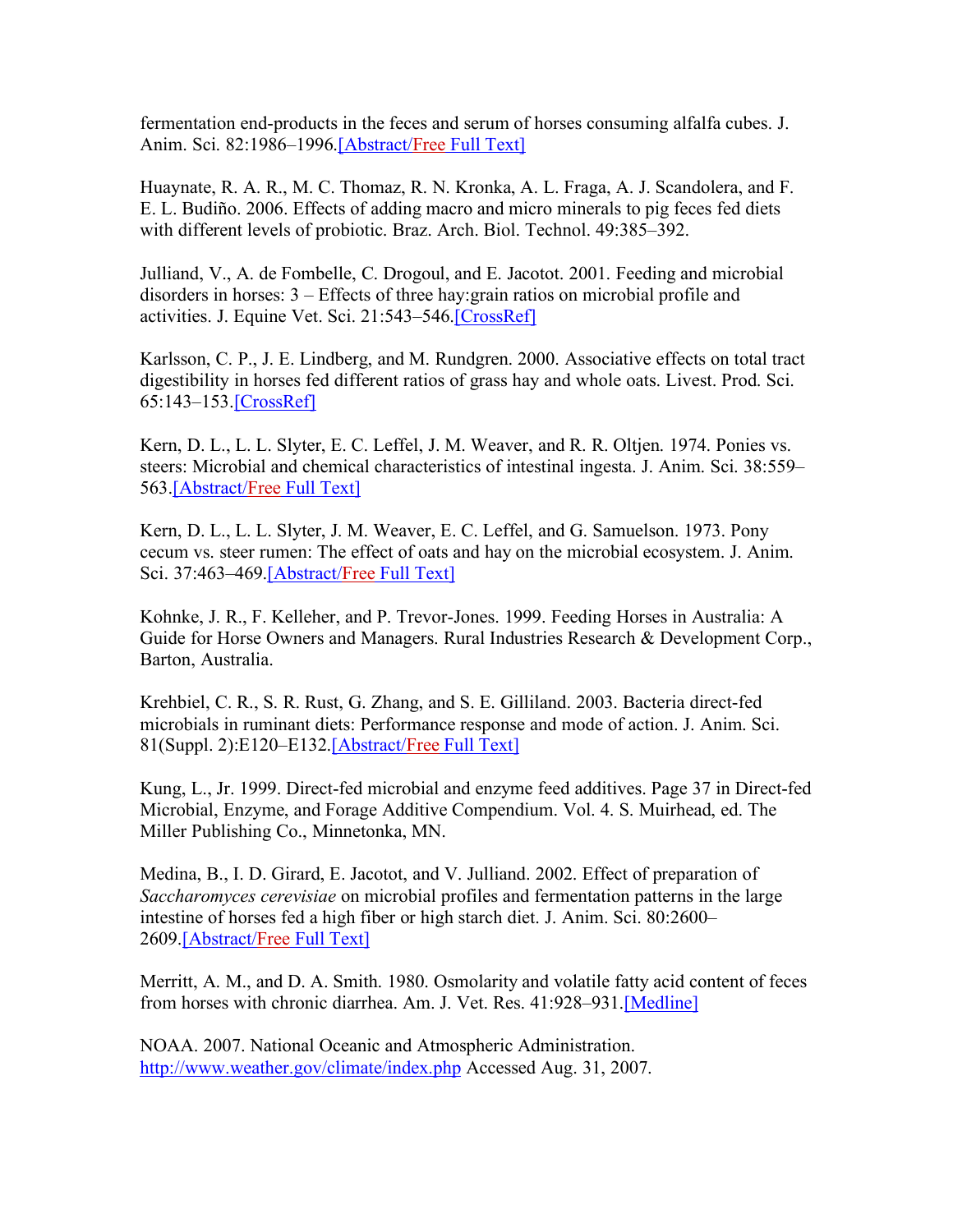fermentation end-products in the feces and serum of horses consuming alfalfa cubes. J. Anim. Sci. 82:1986-1996.[Abstract/Free Full Text]

Huaynate, R. A. R., M. C. Thomaz, R. N. Kronka, A. L. Fraga, A. J. Scandolera, and F. E. L. Budiño. 2006. Effects of adding macro and micro minerals to pig feces fed diets with different levels of probiotic. Braz. Arch. Biol. Technol. 49:385–392.

Julliand, V., A. de Fombelle, C. Drogoul, and E. Jacotot. 2001. Feeding and microbial disorders in horses: 3 – Effects of three hay:grain ratios on microbial profile and activities. J. Equine Vet. Sci. 21:543–546.[CrossRef]

Karlsson, C. P., J. E. Lindberg, and M. Rundgren. 2000. Associative effects on total tract digestibility in horses fed different ratios of grass hay and whole oats. Livest. Prod. Sci. 65:143–153.[CrossRef]

Kern, D. L., L. L. Slyter, E. C. Leffel, J. M. Weaver, and R. R. Oltjen. 1974. Ponies vs. steers: Microbial and chemical characteristics of intestinal ingesta. J. Anim. Sci. 38:559– 563.[Abstract/Free Full Text]

Kern, D. L., L. L. Slyter, J. M. Weaver, E. C. Leffel, and G. Samuelson. 1973. Pony cecum vs. steer rumen: The effect of oats and hay on the microbial ecosystem. J. Anim. Sci. 37:463–469.[Abstract/Free Full Text]

Kohnke, J. R., F. Kelleher, and P. Trevor-Jones. 1999. Feeding Horses in Australia: A Guide for Horse Owners and Managers. Rural Industries Research & Development Corp., Barton, Australia.

Krehbiel, C. R., S. R. Rust, G. Zhang, and S. E. Gilliland. 2003. Bacteria direct-fed microbials in ruminant diets: Performance response and mode of action. J. Anim. Sci. 81(Suppl. 2):E120–E132.[Abstract/Free Full Text]

Kung, L., Jr. 1999. Direct-fed microbial and enzyme feed additives. Page 37 in Direct-fed Microbial, Enzyme, and Forage Additive Compendium. Vol. 4. S. Muirhead, ed. The Miller Publishing Co., Minnetonka, MN.

Medina, B., I. D. Girard, E. Jacotot, and V. Julliand. 2002. Effect of preparation of *Saccharomyces cerevisiae* on microbial profiles and fermentation patterns in the large intestine of horses fed a high fiber or high starch diet. J. Anim. Sci. 80:2600– 2609.[Abstract/Free Full Text]

Merritt, A. M., and D. A. Smith. 1980. Osmolarity and volatile fatty acid content of feces from horses with chronic diarrhea. Am. J. Vet. Res. 41:928-931.[Medline]

NOAA. 2007. National Oceanic and Atmospheric Administration. http://www.weather.gov/climate/index.php Accessed Aug. 31, 2007.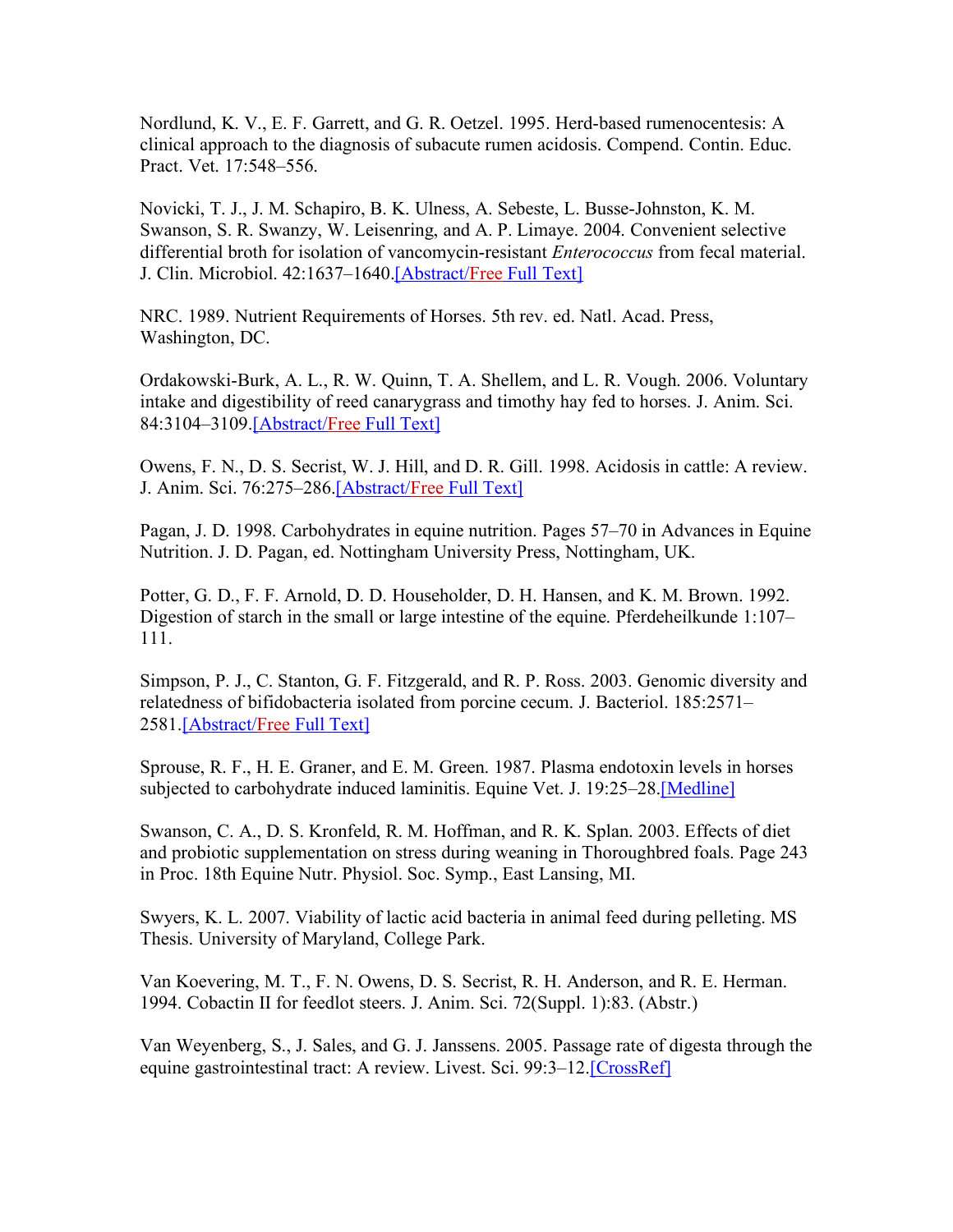Nordlund, K. V., E. F. Garrett, and G. R. Oetzel. 1995. Herd-based rumenocentesis: A clinical approach to the diagnosis of subacute rumen acidosis. Compend. Contin. Educ. Pract. Vet. 17:548–556.

Novicki, T. J., J. M. Schapiro, B. K. Ulness, A. Sebeste, L. Busse-Johnston, K. M. Swanson, S. R. Swanzy, W. Leisenring, and A. P. Limaye. 2004. Convenient selective differential broth for isolation of vancomycin-resistant *Enterococcus* from fecal material. J. Clin. Microbiol. 42:1637–1640.[Abstract/Free Full Text]

NRC. 1989. Nutrient Requirements of Horses. 5th rev. ed. Natl. Acad. Press, Washington, DC.

Ordakowski-Burk, A. L., R. W. Quinn, T. A. Shellem, and L. R. Vough. 2006. Voluntary intake and digestibility of reed canarygrass and timothy hay fed to horses. J. Anim. Sci. 84:3104–3109.[Abstract/Free Full Text]

Owens, F. N., D. S. Secrist, W. J. Hill, and D. R. Gill. 1998. Acidosis in cattle: A review. J. Anim. Sci. 76:275–286.[Abstract/Free Full Text]

Pagan, J. D. 1998. Carbohydrates in equine nutrition. Pages 57–70 in Advances in Equine Nutrition. J. D. Pagan, ed. Nottingham University Press, Nottingham, UK.

Potter, G. D., F. F. Arnold, D. D. Householder, D. H. Hansen, and K. M. Brown. 1992. Digestion of starch in the small or large intestine of the equine. Pferdeheilkunde 1:107– 111.

Simpson, P. J., C. Stanton, G. F. Fitzgerald, and R. P. Ross. 2003. Genomic diversity and relatedness of bifidobacteria isolated from porcine cecum. J. Bacteriol. 185:2571– 2581.[Abstract/Free Full Text]

Sprouse, R. F., H. E. Graner, and E. M. Green. 1987. Plasma endotoxin levels in horses subjected to carbohydrate induced laminitis. Equine Vet. J. 19:25–28.[Medline]

Swanson, C. A., D. S. Kronfeld, R. M. Hoffman, and R. K. Splan. 2003. Effects of diet and probiotic supplementation on stress during weaning in Thoroughbred foals. Page 243 in Proc. 18th Equine Nutr. Physiol. Soc. Symp., East Lansing, MI.

Swyers, K. L. 2007. Viability of lactic acid bacteria in animal feed during pelleting. MS Thesis. University of Maryland, College Park.

Van Koevering, M. T., F. N. Owens, D. S. Secrist, R. H. Anderson, and R. E. Herman. 1994. Cobactin II for feedlot steers. J. Anim. Sci. 72(Suppl. 1):83. (Abstr.)

Van Weyenberg, S., J. Sales, and G. J. Janssens. 2005. Passage rate of digesta through the equine gastrointestinal tract: A review. Livest. Sci. 99:3–12.[CrossRef]